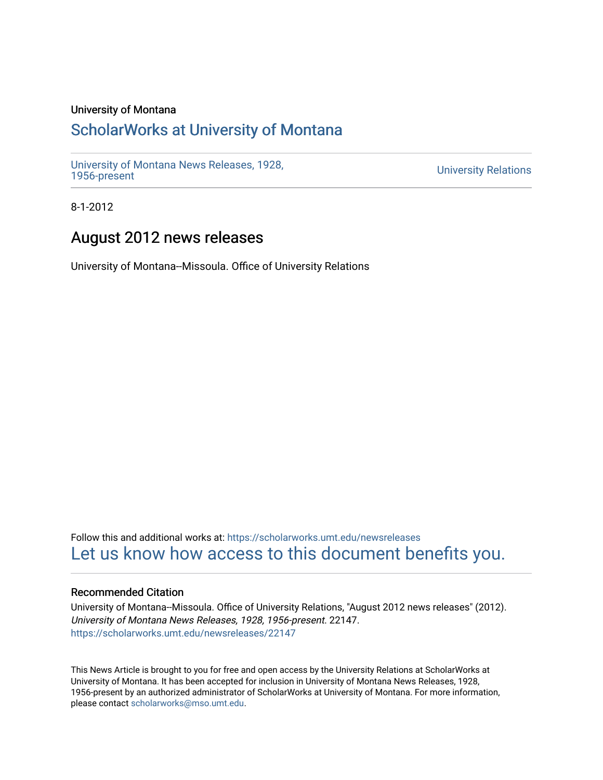# University of Montana

# [ScholarWorks at University of Montana](https://scholarworks.umt.edu/)

[University of Montana News Releases, 1928,](https://scholarworks.umt.edu/newsreleases) 

**University Relations** 

8-1-2012

# August 2012 news releases

University of Montana--Missoula. Office of University Relations

Follow this and additional works at: [https://scholarworks.umt.edu/newsreleases](https://scholarworks.umt.edu/newsreleases?utm_source=scholarworks.umt.edu%2Fnewsreleases%2F22147&utm_medium=PDF&utm_campaign=PDFCoverPages) [Let us know how access to this document benefits you.](https://goo.gl/forms/s2rGfXOLzz71qgsB2) 

# Recommended Citation

University of Montana--Missoula. Office of University Relations, "August 2012 news releases" (2012). University of Montana News Releases, 1928, 1956-present. 22147. [https://scholarworks.umt.edu/newsreleases/22147](https://scholarworks.umt.edu/newsreleases/22147?utm_source=scholarworks.umt.edu%2Fnewsreleases%2F22147&utm_medium=PDF&utm_campaign=PDFCoverPages) 

This News Article is brought to you for free and open access by the University Relations at ScholarWorks at University of Montana. It has been accepted for inclusion in University of Montana News Releases, 1928, 1956-present by an authorized administrator of ScholarWorks at University of Montana. For more information, please contact [scholarworks@mso.umt.edu.](mailto:scholarworks@mso.umt.edu)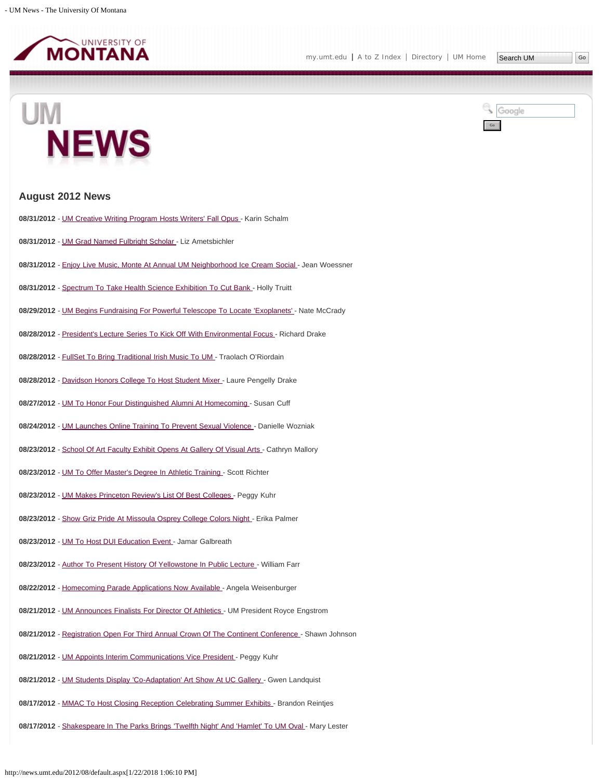

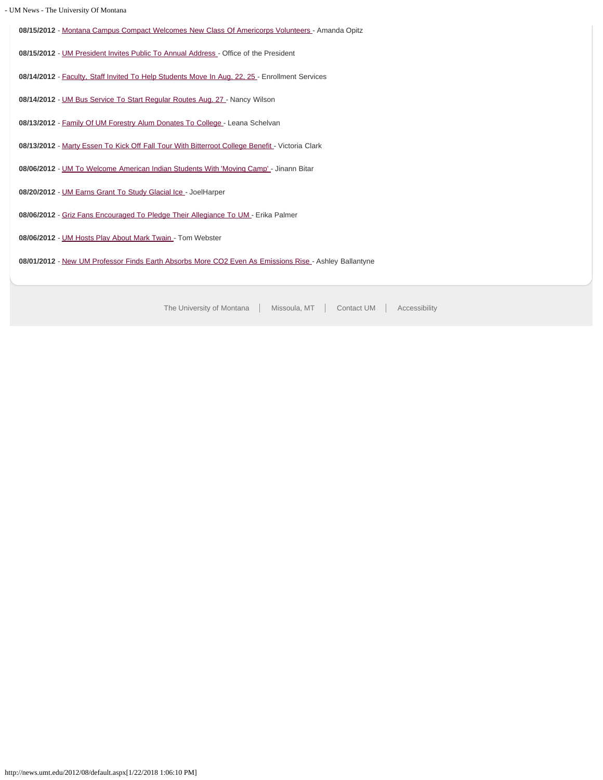|  |  | - UM News - The University Of Montana |
|--|--|---------------------------------------|

| 08/15/2012 - Montana Campus Compact Welcomes New Class Of Americorps Volunteers - Amanda Opitz        |
|-------------------------------------------------------------------------------------------------------|
| 08/15/2012 - UM President Invites Public To Annual Address - Office of the President                  |
|                                                                                                       |
| 08/14/2012 - Faculty, Staff Invited To Help Students Move In Aug. 22, 25 - Enrollment Services        |
|                                                                                                       |
| 08/14/2012 - UM Bus Service To Start Regular Routes Aug. 27 - Nancy Wilson                            |
|                                                                                                       |
| 08/13/2012 - Family Of UM Forestry Alum Donates To College - Leana Schelvan                           |
|                                                                                                       |
| 08/13/2012 - Marty Essen To Kick Off Fall Tour With Bitterroot College Benefit - Victoria Clark       |
| 08/06/2012 - UM To Welcome American Indian Students With 'Moving Camp' - Jinann Bitar                 |
|                                                                                                       |
| 08/20/2012 - UM Earns Grant To Study Glacial Ice - JoelHarper                                         |
|                                                                                                       |
| 08/06/2012 - Griz Fans Encouraged To Pledge Their Allegiance To UM - Erika Palmer                     |
|                                                                                                       |
| 08/06/2012 - UM Hosts Play About Mark Twain - Tom Webster                                             |
|                                                                                                       |
| 08/01/2012 - New UM Professor Finds Earth Absorbs More CO2 Even As Emissions Rise - Ashley Ballantyne |
|                                                                                                       |
|                                                                                                       |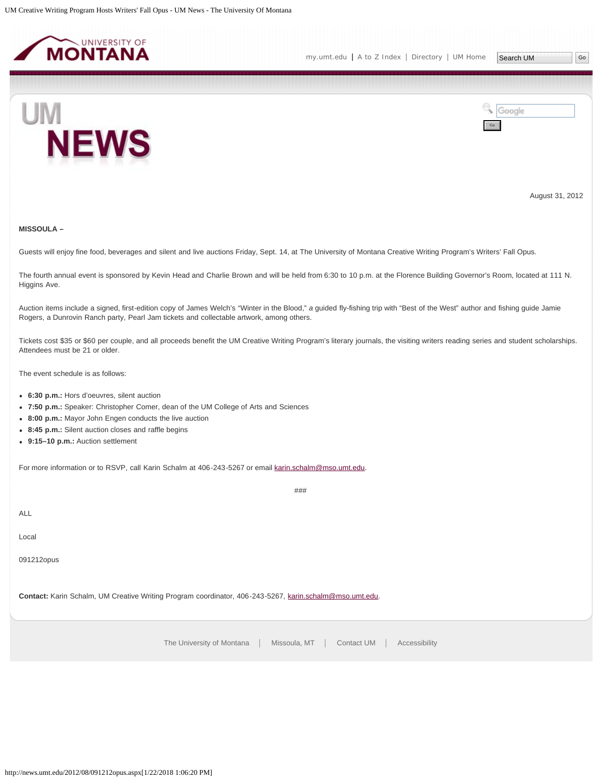<span id="page-3-0"></span>



August 31, 2012

# **MISSOULA –**

Guests will enjoy fine food, beverages and silent and live auctions Friday, Sept. 14, at The University of Montana Creative Writing Program's Writers' Fall Opus.

The fourth annual event is sponsored by Kevin Head and Charlie Brown and will be held from 6:30 to 10 p.m. at the Florence Building Governor's Room, located at 111 N. Higgins Ave.

Auction items include a signed, first-edition copy of James Welch's "Winter in the Blood," *a* guided fly-fishing trip with "Best of the West" author and fishing guide Jamie Rogers, a Dunrovin Ranch party, Pearl Jam tickets and collectable artwork, among others.

Tickets cost \$35 or \$60 per couple, and all proceeds benefit the UM Creative Writing Program's literary journals, the visiting writers reading series and student scholarships. Attendees must be 21 or older.

###

The event schedule is as follows:

- **6:30 p.m.:** Hors d'oeuvres, silent auction
- **7:50 p.m.:** Speaker: Christopher Comer, dean of the UM College of Arts and Sciences
- **8:00 p.m.:** Mayor John Engen conducts the live auction
- **8:45 p.m.:** Silent auction closes and raffle begins
- **9:15–10 p.m.:** Auction settlement

For more information or to RSVP, call Karin Schalm at 406-243-5267 or email [karin.schalm@mso.umt.edu.](mailto:karin.schalm@mso.umt.edu)

ALL

Local

091212opus

**Contact:** Karin Schalm, UM Creative Writing Program coordinator, 406-243-5267, [karin.schalm@mso.umt.edu](mailto:karin.schalm@mso.umt.edu).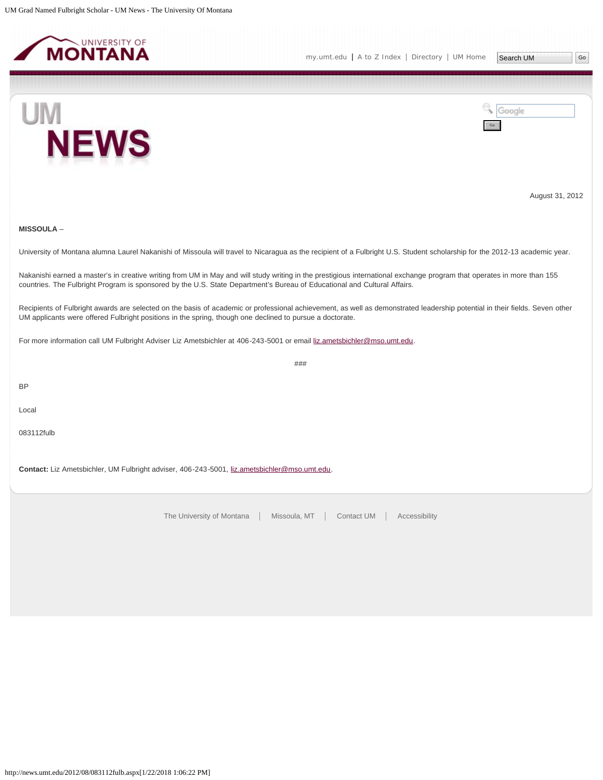<span id="page-4-0"></span>





August 31, 2012

# **MISSOULA** –

University of Montana alumna Laurel Nakanishi of Missoula will travel to Nicaragua as the recipient of a Fulbright U.S. Student scholarship for the 2012-13 academic year.

Nakanishi earned a master's in creative writing from UM in May and will study writing in the prestigious international exchange program that operates in more than 155 countries. The Fulbright Program is sponsored by the U.S. State Department's Bureau of Educational and Cultural Affairs.

Recipients of Fulbright awards are selected on the basis of academic or professional achievement, as well as demonstrated leadership potential in their fields. Seven other UM applicants were offered Fulbright positions in the spring, though one declined to pursue a doctorate.

###

For more information call UM Fulbright Adviser Liz Ametsbichler at 406-243-5001 or email [liz.ametsbichler@mso.umt.edu.](mailto:liz.ametsbichler@mso.umt.edu)

BP

Local

083112fulb

Contact: Liz Ametsbichler, UM Fulbright adviser, 406-243-5001, [liz.ametsbichler@mso.umt.edu](mailto:liz.ametsbichler@mso.umt.edu).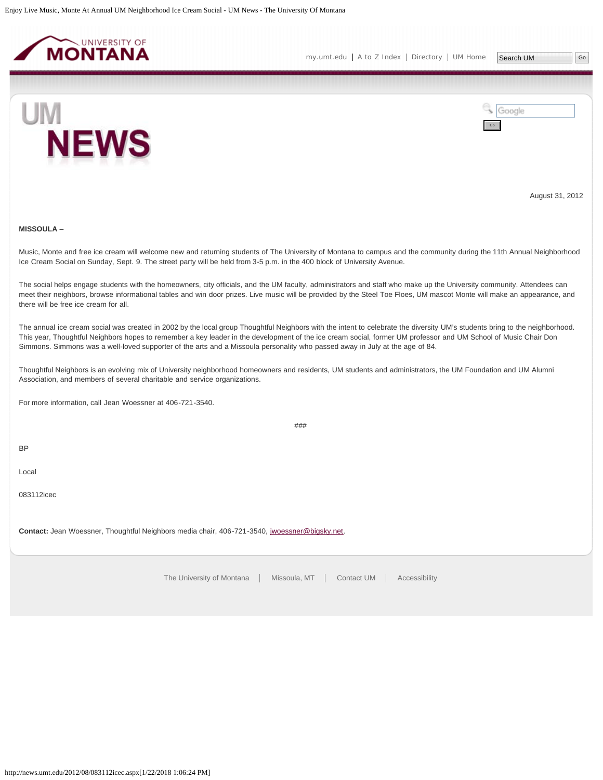<span id="page-5-0"></span>

[my.umt.edu](http://my.umt.edu/) | [A to Z Index](http://www.umt.edu/search/atoz/) | [Directory](http://www.umt.edu/directory/) | [UM Home](http://www.umt.edu/)



Google Go

August 31, 2012

# **MISSOULA** –

Music, Monte and free ice cream will welcome new and returning students of The University of Montana to campus and the community during the 11th Annual Neighborhood Ice Cream Social on Sunday, Sept. 9. The street party will be held from 3-5 p.m. in the 400 block of University Avenue.

The social helps engage students with the homeowners, city officials, and the UM faculty, administrators and staff who make up the University community. Attendees can meet their neighbors, browse informational tables and win door prizes. Live music will be provided by the Steel Toe Floes, UM mascot Monte will make an appearance, and there will be free ice cream for all.

The annual ice cream social was created in 2002 by the local group Thoughtful Neighbors with the intent to celebrate the diversity UM's students bring to the neighborhood. This year, Thoughtful Neighbors hopes to remember a key leader in the development of the ice cream social, former UM professor and UM School of Music Chair Don Simmons. Simmons was a well-loved supporter of the arts and a Missoula personality who passed away in July at the age of 84.

Thoughtful Neighbors is an evolving mix of University neighborhood homeowners and residents, UM students and administrators, the UM Foundation and UM Alumni Association, and members of several charitable and service organizations.

For more information, call Jean Woessner at 406-721-3540.

###

BP

Local

083112icec

**Contact:** Jean Woessner, Thoughtful Neighbors media chair, 406-721-3540, [jwoessner@bigsky.net](mailto:jwoessner@bigsky.net).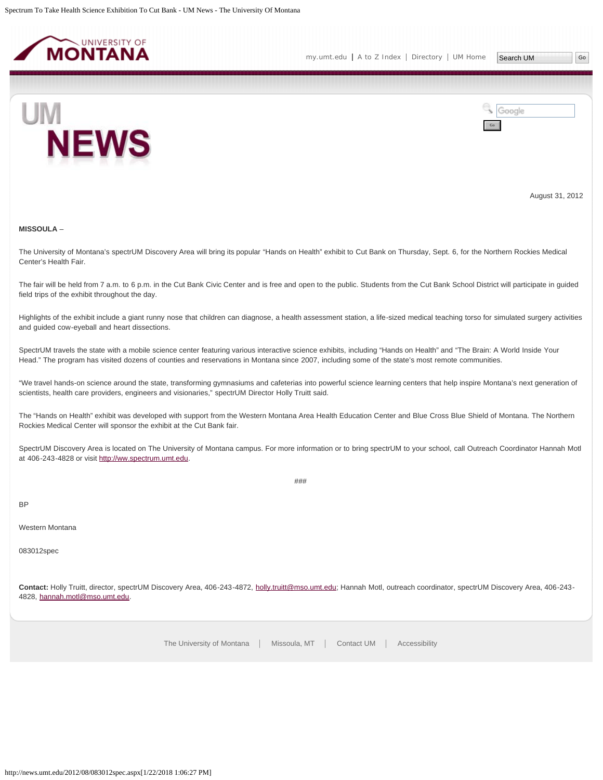<span id="page-6-0"></span>



August 31, 2012

### **MISSOULA** –

The University of Montana's spectrUM Discovery Area will bring its popular "Hands on Health" exhibit to Cut Bank on Thursday, Sept. 6, for the Northern Rockies Medical Center's Health Fair.

The fair will be held from 7 a.m. to 6 p.m. in the Cut Bank Civic Center and is free and open to the public. Students from the Cut Bank School District will participate in guided field trips of the exhibit throughout the day.

Highlights of the exhibit include a giant runny nose that children can diagnose, a health assessment station, a life-sized medical teaching torso for simulated surgery activities and guided cow-eyeball and heart dissections.

SpectrUM travels the state with a mobile science center featuring various interactive science exhibits, including "Hands on Health" and "The Brain: A World Inside Your Head." The program has visited dozens of counties and reservations in Montana since 2007, including some of the state's most remote communities.

"We travel hands-on science around the state, transforming gymnasiums and cafeterias into powerful science learning centers that help inspire Montana's next generation of scientists, health care providers, engineers and visionaries," spectrUM Director Holly Truitt said.

The "Hands on Health" exhibit was developed with support from the Western Montana Area Health Education Center and Blue Cross Blue Shield of Montana. The Northern Rockies Medical Center will sponsor the exhibit at the Cut Bank fair.

SpectrUM Discovery Area is located on The University of Montana campus. For more information or to bring spectrUM to your school, call Outreach Coordinator Hannah Motl at 406-243-4828 or visit [http://ww.spectrum.umt.edu.](http://ww.spectrum.umt.edu/)

###

#### BP

# Western Montana

083012spec

**Contact:** Holly Truitt, director, spectrUM Discovery Area, 406-243-4872, [holly.truitt@mso.umt.edu;](mailto:holly.truitt@mso.umt.edu) Hannah Motl, outreach coordinator, spectrUM Discovery Area, 406-243- 4828, [hannah.motl@mso.umt.edu](mailto:hannah.motl@mso.umt.edu).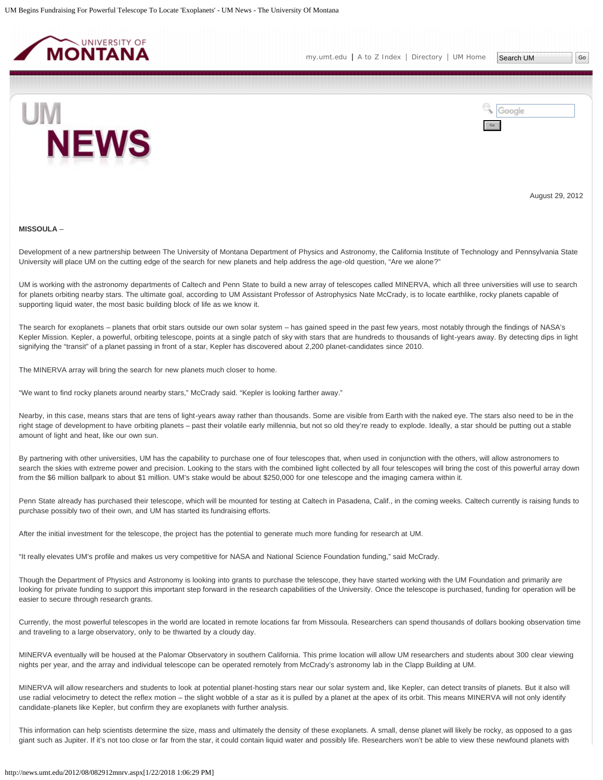<span id="page-7-0"></span>



August 29, 2012

### **MISSOULA** –

Development of a new partnership between The University of Montana Department of Physics and Astronomy, the California Institute of Technology and Pennsylvania State University will place UM on the cutting edge of the search for new planets and help address the age-old question, "Are we alone?"

UM is working with the astronomy departments of Caltech and Penn State to build a new array of telescopes called MINERVA, which all three universities will use to search for planets orbiting nearby stars. The ultimate goal, according to UM Assistant Professor of Astrophysics Nate McCrady, is to locate earthlike, rocky planets capable of supporting liquid water, the most basic building block of life as we know it.

The search for exoplanets – planets that orbit stars outside our own solar system – has gained speed in the past few years, most notably through the findings of NASA's Kepler Mission. Kepler, a powerful, orbiting telescope, points at a single patch of sky with stars that are hundreds to thousands of light-years away. By detecting dips in light signifying the "transit" of a planet passing in front of a star, Kepler has discovered about 2,200 planet-candidates since 2010.

The MINERVA array will bring the search for new planets much closer to home.

"We want to find rocky planets around nearby stars," McCrady said. "Kepler is looking farther away."

Nearby, in this case, means stars that are tens of light-years away rather than thousands. Some are visible from Earth with the naked eye. The stars also need to be in the right stage of development to have orbiting planets - past their volatile early millennia, but not so old they're ready to explode. Ideally, a star should be putting out a stable amount of light and heat, like our own sun.

By partnering with other universities, UM has the capability to purchase one of four telescopes that, when used in conjunction with the others, will allow astronomers to search the skies with extreme power and precision. Looking to the stars with the combined light collected by all four telescopes will bring the cost of this powerful array down from the \$6 million ballpark to about \$1 million. UM's stake would be about \$250,000 for one telescope and the imaging camera within it.

Penn State already has purchased their telescope, which will be mounted for testing at Caltech in Pasadena, Calif., in the coming weeks. Caltech currently is raising funds to purchase possibly two of their own, and UM has started its fundraising efforts.

After the initial investment for the telescope, the project has the potential to generate much more funding for research at UM.

"It really elevates UM's profile and makes us very competitive for NASA and National Science Foundation funding," said McCrady.

Though the Department of Physics and Astronomy is looking into grants to purchase the telescope, they have started working with the UM Foundation and primarily are looking for private funding to support this important step forward in the research capabilities of the University. Once the telescope is purchased, funding for operation will be easier to secure through research grants.

Currently, the most powerful telescopes in the world are located in remote locations far from Missoula. Researchers can spend thousands of dollars booking observation time and traveling to a large observatory, only to be thwarted by a cloudy day.

MINERVA eventually will be housed at the Palomar Observatory in southern California. This prime location will allow UM researchers and students about 300 clear viewing nights per year, and the array and individual telescope can be operated remotely from McCrady's astronomy lab in the Clapp Building at UM.

MINERVA will allow researchers and students to look at potential planet-hosting stars near our solar system and, like Kepler, can detect transits of planets. But it also will use radial velocimetry to detect the reflex motion – the slight wobble of a star as it is pulled by a planet at the apex of its orbit. This means MINERVA will not only identify candidate-planets like Kepler, but confirm they are exoplanets with further analysis.

This information can help scientists determine the size, mass and ultimately the density of these exoplanets. A small, dense planet will likely be rocky, as opposed to a gas giant such as Jupiter. If it's not too close or far from the star, it could contain liquid water and possibly life. Researchers won't be able to view these newfound planets with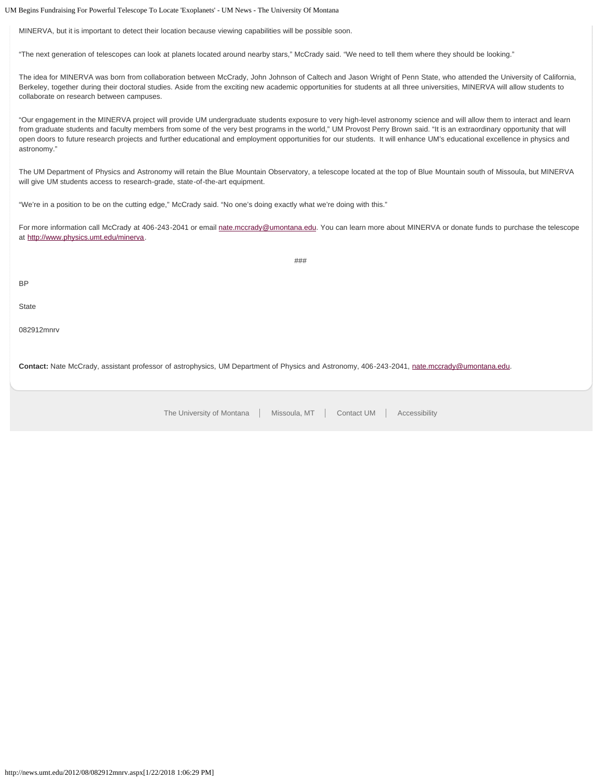UM Begins Fundraising For Powerful Telescope To Locate 'Exoplanets' - UM News - The University Of Montana

MINERVA, but it is important to detect their location because viewing capabilities will be possible soon.

"The next generation of telescopes can look at planets located around nearby stars," McCrady said. "We need to tell them where they should be looking."

The idea for MINERVA was born from collaboration between McCrady, John Johnson of Caltech and Jason Wright of Penn State, who attended the University of California, Berkeley, together during their doctoral studies. Aside from the exciting new academic opportunities for students at all three universities, MINERVA will allow students to collaborate on research between campuses.

"Our engagement in the MINERVA project will provide UM undergraduate students exposure to very high-level astronomy science and will allow them to interact and learn from graduate students and faculty members from some of the very best programs in the world," UM Provost Perry Brown said. "It is an extraordinary opportunity that will open doors to future research projects and further educational and employment opportunities for our students. It will enhance UM's educational excellence in physics and astronomy."

The UM Department of Physics and Astronomy will retain the Blue Mountain Observatory, a telescope located at the top of Blue Mountain south of Missoula, but MINERVA will give UM students access to research-grade, state-of-the-art equipment.

"We're in a position to be on the cutting edge," McCrady said. "No one's doing exactly what we're doing with this."

For more information call McCrady at 406-243-2041 or email [nate.mccrady@umontana.edu](mailto:nate.mccrady@umontana.edu). You can learn more about MINERVA or donate funds to purchase the telescope at [http://www.physics.umt.edu/minerva.](http://www.physics.umt.edu/minerva)

###

BP

**State** 

082912mnrv

**Contact:** Nate McCrady, assistant professor of astrophysics, UM Department of Physics and Astronomy, 406-243-2041, [nate.mccrady@umontana.edu.](mailto:nate.mccrady@umontana.edu)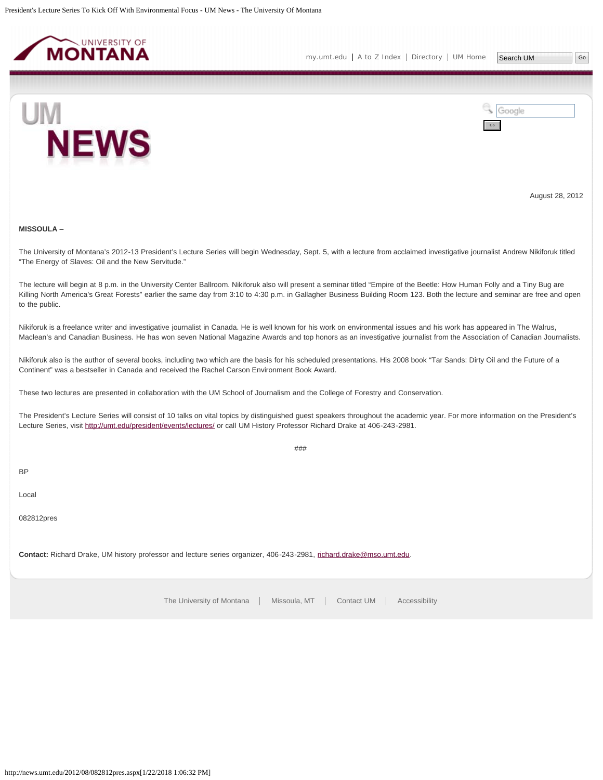<span id="page-9-0"></span>



August 28, 2012

# **MISSOULA** –

The University of Montana's 2012-13 President's Lecture Series will begin Wednesday, Sept. 5, with a lecture from acclaimed investigative journalist Andrew Nikiforuk titled "The Energy of Slaves: Oil and the New Servitude."

The lecture will begin at 8 p.m. in the University Center Ballroom. Nikiforuk also will present a seminar titled "Empire of the Beetle: How Human Folly and a Tiny Bug are Killing North America's Great Forests" earlier the same day from 3:10 to 4:30 p.m. in Gallagher Business Building Room 123. Both the lecture and seminar are free and open to the public.

Nikiforuk is a freelance writer and investigative journalist in Canada. He is well known for his work on environmental issues and his work has appeared in The Walrus, Maclean's and Canadian Business. He has won seven National Magazine Awards and top honors as an investigative journalist from the Association of Canadian Journalists.

Nikiforuk also is the author of several books, including two which are the basis for his scheduled presentations. His 2008 book "Tar Sands: Dirty Oil and the Future of a Continent" was a bestseller in Canada and received the Rachel Carson Environment Book Award.

These two lectures are presented in collaboration with the UM School of Journalism and the College of Forestry and Conservation.

The President's Lecture Series will consist of 10 talks on vital topics by distinguished guest speakers throughout the academic year. For more information on the President's Lecture Series, visit<http://umt.edu/president/events/lectures/> or call UM History Professor Richard Drake at 406-243-2981.

 $#HH$ 

BP

Local

082812pres

**Contact:** Richard Drake, UM history professor and lecture series organizer, 406-243-2981, [richard.drake@mso.umt.edu.](mailto:richard.drake@mso.umt.edu)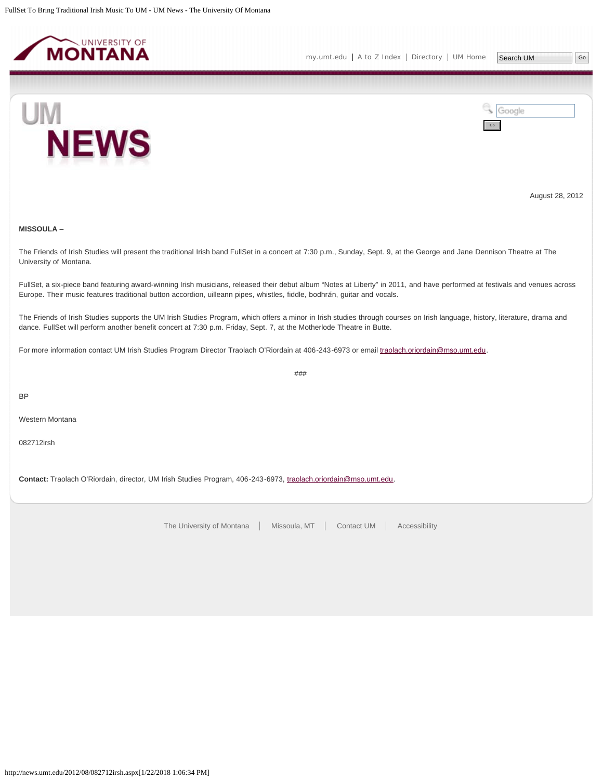<span id="page-10-0"></span>



August 28, 2012

# **MISSOULA** –

The Friends of Irish Studies will present the traditional Irish band FullSet in a concert at 7:30 p.m., Sunday, Sept. 9, at the George and Jane Dennison Theatre at The University of Montana.

FullSet, a six-piece band featuring award-winning Irish musicians, released their debut album "Notes at Liberty" in 2011, and have performed at festivals and venues across Europe. Their music features traditional button accordion, uilleann pipes, whistles, fiddle, bodhr*á*n, guitar and vocals.

The Friends of Irish Studies supports the UM Irish Studies Program, which offers a minor in Irish studies through courses on Irish language, history, literature, drama and dance. FullSet will perform another benefit concert at 7:30 p.m. Friday, Sept. 7, at the Motherlode Theatre in Butte.

###

For more information contact UM Irish Studies Program Director Traolach O'Riordain at 406-243-6973 or email [traolach.oriordain@mso.umt.edu.](mailto:traolach.oriordain@mso.umt.edu)

BP

Western Montana

082712irsh

**Contact:** Traolach O'Riordain, director, UM Irish Studies Program, 406-243-6973, [traolach.oriordain@mso.umt.edu.](mailto:traolach.oriordain@mso.umt.edu)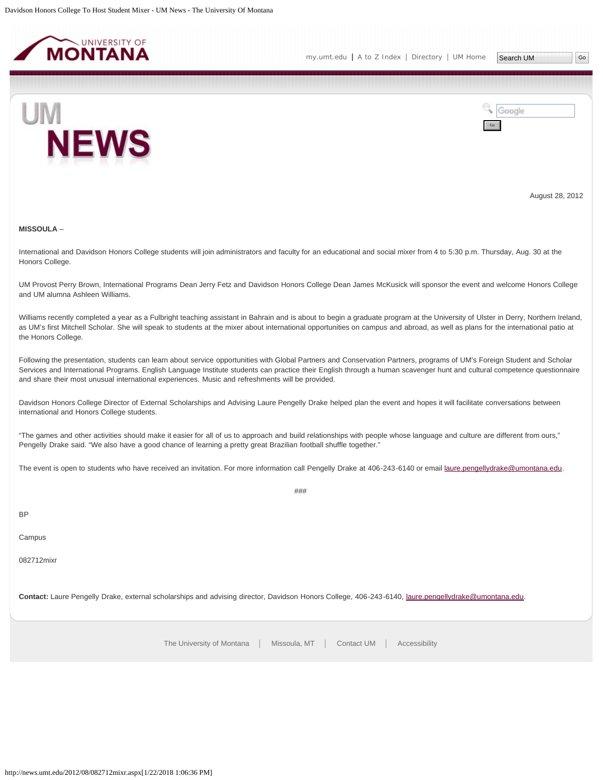<span id="page-11-0"></span>



August 28, 2012

#### **MISSOULA** –

International and Davidson Honors College students will join administrators and faculty for an educational and social mixer from 4 to 5:30 p.m. Thursday, Aug. 30 at the Honors College.

UM Provost Perry Brown, International Programs Dean Jerry Fetz and Davidson Honors College Dean James McKusick will sponsor the event and welcome Honors College and UM alumna Ashleen Williams.

Williams recently completed a year as a Fulbright teaching assistant in Bahrain and is about to begin a graduate program at the University of Ulster in Derry, Northern Ireland, as UM's first Mitchell Scholar. She will speak to students at the mixer about international opportunities on campus and abroad, as well as plans for the international patio at the Honors College.

Following the presentation, students can learn about service opportunities with Global Partners and Conservation Partners, programs of UM's Foreign Student and Scholar Services and International Programs. English Language Institute students can practice their English through a human scavenger hunt and cultural competence questionnaire and share their most unusual international experiences. Music and refreshments will be provided.

Davidson Honors College Director of External Scholarships and Advising Laure Pengelly Drake helped plan the event and hopes it will facilitate conversations between international and Honors College students.

"The games and other activities should make it easier for all of us to approach and build relationships with people whose language and culture are different from ours," Pengelly Drake said. "We also have a good chance of learning a pretty great Brazilian football shuffle together."

The event is open to students who have received an invitation. For more information call Pengelly Drake at 406-243-6140 or email [laure.pengellydrake@umontana.edu.](mailto:laure.pengellydrake@umontana.edu)

###

BP

Campus

082712mixr

**Contact:** Laure Pengelly Drake, external scholarships and advising director, Davidson Honors College, 406-243-6140, [laure.pengellydrake@umontana.edu.](mailto:laure.pengellydrake@umontana.edu)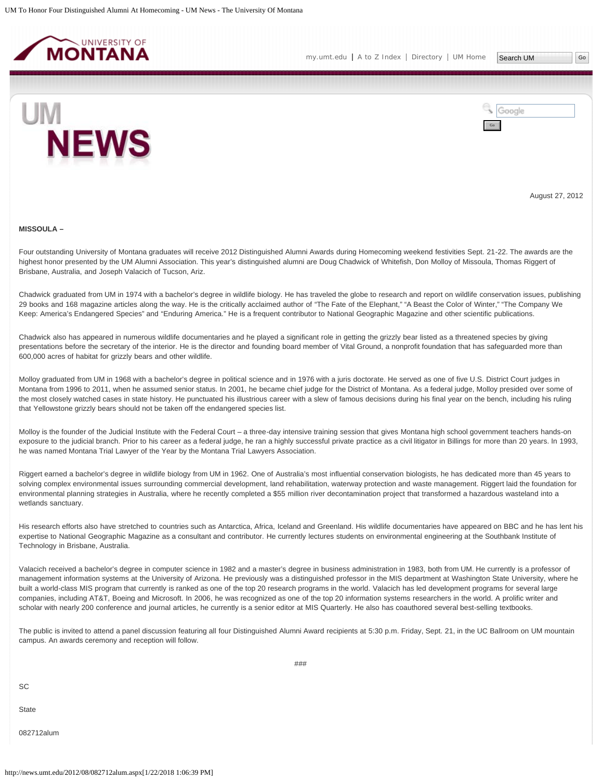<span id="page-12-0"></span>



August 27, 2012

#### **MISSOULA –**

Four outstanding University of Montana graduates will receive 2012 Distinguished Alumni Awards during Homecoming weekend festivities Sept. 21-22. The awards are the highest honor presented by the UM Alumni Association. This year's distinguished alumni are Doug Chadwick of Whitefish, Don Molloy of Missoula, Thomas Riggert of Brisbane, Australia, and Joseph Valacich of Tucson, Ariz.

Chadwick graduated from UM in 1974 with a bachelor's degree in wildlife biology. He has traveled the globe to research and report on wildlife conservation issues, publishing 29 books and 168 magazine articles along the way. He is the critically acclaimed author of "The Fate of the Elephant," "A Beast the Color of Winter," "The Company We Keep: America's Endangered Species" and "Enduring America." He is a frequent contributor to National Geographic Magazine and other scientific publications.

Chadwick also has appeared in numerous wildlife documentaries and he played a significant role in getting the grizzly bear listed as a threatened species by giving presentations before the secretary of the interior. He is the director and founding board member of Vital Ground, a nonprofit foundation that has safeguarded more than 600,000 acres of habitat for grizzly bears and other wildlife.

Molloy graduated from UM in 1968 with a bachelor's degree in political science and in 1976 with a juris doctorate. He served as one of five U.S. District Court judges in Montana from 1996 to 2011, when he assumed senior status. In 2001, he became chief judge for the District of Montana. As a federal judge, Molloy presided over some of the most closely watched cases in state history. He punctuated his illustrious career with a slew of famous decisions during his final year on the bench, including his ruling that Yellowstone grizzly bears should not be taken off the endangered species list.

Molloy is the founder of the Judicial Institute with the Federal Court – a three-day intensive training session that gives Montana high school government teachers hands-on exposure to the judicial branch. Prior to his career as a federal judge, he ran a highly successful private practice as a civil litigator in Billings for more than 20 years. In 1993, he was named Montana Trial Lawyer of the Year by the Montana Trial Lawyers Association.

Riggert earned a bachelor's degree in wildlife biology from UM in 1962. One of Australia's most influential conservation biologists, he has dedicated more than 45 years to solving complex environmental issues surrounding commercial development, land rehabilitation, waterway protection and waste management. Riggert laid the foundation for environmental planning strategies in Australia, where he recently completed a \$55 million river decontamination project that transformed a hazardous wasteland into a wetlands sanctuary.

His research efforts also have stretched to countries such as Antarctica, Africa, Iceland and Greenland. His wildlife documentaries have appeared on BBC and he has lent his expertise to National Geographic Magazine as a consultant and contributor. He currently lectures students on environmental engineering at the Southbank Institute of Technology in Brisbane, Australia.

Valacich received a bachelor's degree in computer science in 1982 and a master's degree in business administration in 1983, both from UM. He currently is a professor of management information systems at the University of Arizona. He previously was a distinguished professor in the MIS department at Washington State University, where he built a world-class MIS program that currently is ranked as one of the top 20 research programs in the world. Valacich has led development programs for several large companies, including AT&T, Boeing and Microsoft. In 2006, he was recognized as one of the top 20 information systems researchers in the world. A prolific writer and scholar with nearly 200 conference and journal articles, he currently is a senior editor at MIS Quarterly. He also has coauthored several best-selling textbooks.

The public is invited to attend a panel discussion featuring all four Distinguished Alumni Award recipients at 5:30 p.m. Friday, Sept. 21, in the UC Ballroom on UM mountain campus. An awards ceremony and reception will follow.

**SC** 

**State** 

082712alum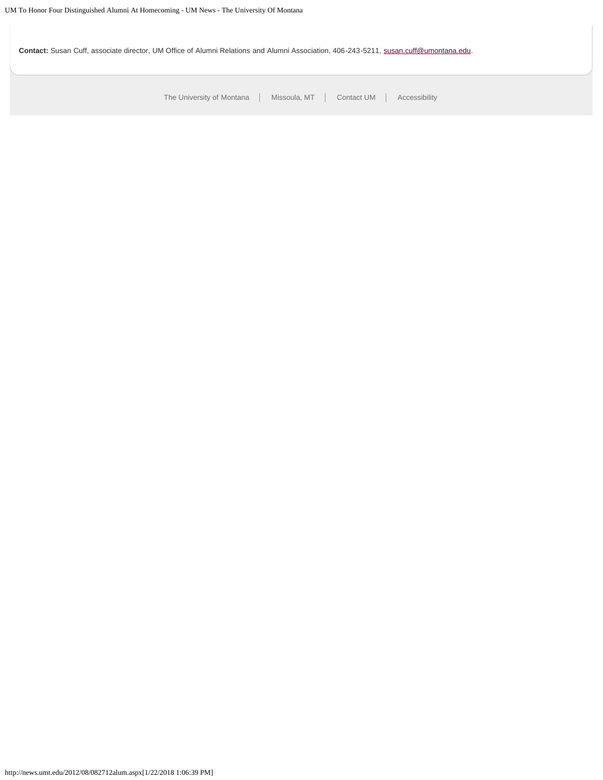Contact: Susan Cuff, associate director, UM Office of Alumni Relations and Alumni Association, 406-243-5211, [susan.cuff@umontana.edu.](mailto:susan.cuff@umontana.edu)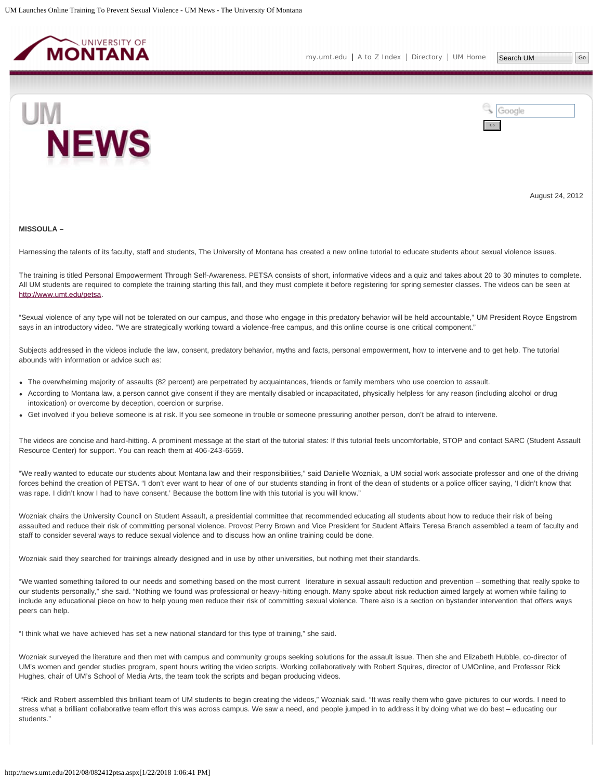<span id="page-14-0"></span>



August 24, 2012

### **MISSOULA –**

Harnessing the talents of its faculty, staff and students, The University of Montana has created a new online tutorial to educate students about sexual violence issues.

The training is titled Personal Empowerment Through Self-Awareness. PETSA consists of short, informative videos and a quiz and takes about 20 to 30 minutes to complete. All UM students are required to complete the training starting this fall, and they must complete it before registering for spring semester classes. The videos can be seen at <http://www.umt.edu/petsa>.

"Sexual violence of any type will not be tolerated on our campus, and those who engage in this predatory behavior will be held accountable," UM President Royce Engstrom says in an introductory video. "We are strategically working toward a violence-free campus, and this online course is one critical component."

Subjects addressed in the videos include the law, consent, predatory behavior, myths and facts, personal empowerment, how to intervene and to get help. The tutorial abounds with information or advice such as:

- The overwhelming majority of assaults (82 percent) are perpetrated by acquaintances, friends or family members who use coercion to assault.
- According to Montana law, a person cannot give consent if they are mentally disabled or incapacitated, physically helpless for any reason (including alcohol or drug intoxication) or overcome by deception, coercion or surprise.
- Get involved if you believe someone is at risk. If you see someone in trouble or someone pressuring another person, don't be afraid to intervene.

The videos are concise and hard-hitting. A prominent message at the start of the tutorial states: If this tutorial feels uncomfortable, STOP and contact SARC (Student Assault Resource Center) for support. You can reach them at 406-243-6559.

"We really wanted to educate our students about Montana law and their responsibilities," said Danielle Wozniak, a UM social work associate professor and one of the driving forces behind the creation of PETSA. "I don't ever want to hear of one of our students standing in front of the dean of students or a police officer saying, 'I didn't know that was rape. I didn't know I had to have consent.' Because the bottom line with this tutorial is you will know."

Wozniak chairs the University Council on Student Assault, a presidential committee that recommended educating all students about how to reduce their risk of being assaulted and reduce their risk of committing personal violence. Provost Perry Brown and Vice President for Student Affairs Teresa Branch assembled a team of faculty and staff to consider several ways to reduce sexual violence and to discuss how an online training could be done.

Wozniak said they searched for trainings already designed and in use by other universities, but nothing met their standards.

"We wanted something tailored to our needs and something based on the most current literature in sexual assault reduction and prevention – something that really spoke to our students personally," she said. "Nothing we found was professional or heavy-hitting enough. Many spoke about risk reduction aimed largely at women while failing to include any educational piece on how to help young men reduce their risk of committing sexual violence. There also is a section on bystander intervention that offers ways peers can help.

"I think what we have achieved has set a new national standard for this type of training," she said.

Wozniak surveyed the literature and then met with campus and community groups seeking solutions for the assault issue. Then she and Elizabeth Hubble, co-director of UM's women and gender studies program, spent hours writing the video scripts. Working collaboratively with Robert Squires, director of UMOnline, and Professor Rick Hughes, chair of UM's School of Media Arts, the team took the scripts and began producing videos.

"Rick and Robert assembled this brilliant team of UM students to begin creating the videos," Wozniak said. "It was really them who gave pictures to our words. I need to stress what a brilliant collaborative team effort this was across campus. We saw a need, and people jumped in to address it by doing what we do best – educating our students."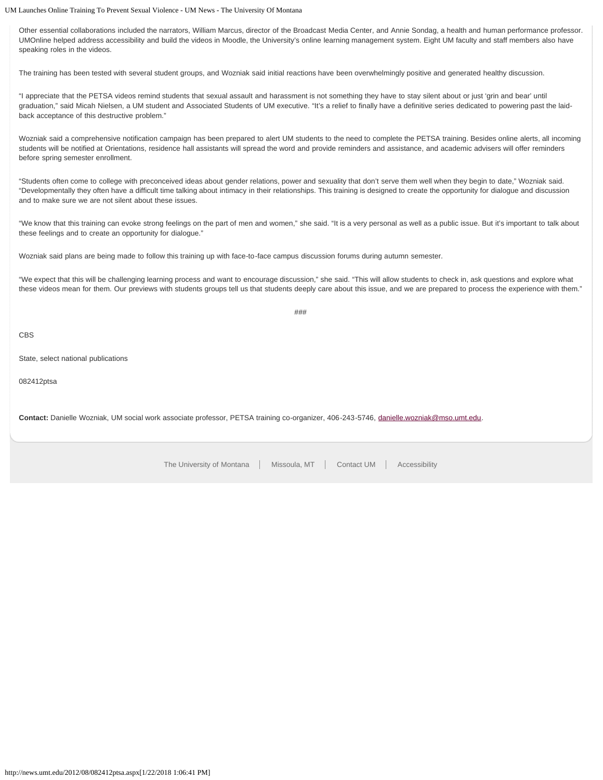UM Launches Online Training To Prevent Sexual Violence - UM News - The University Of Montana

Other essential collaborations included the narrators, William Marcus, director of the Broadcast Media Center, and Annie Sondag, a health and human performance professor. UMOnline helped address accessibility and build the videos in Moodle, the University's online learning management system. Eight UM faculty and staff members also have speaking roles in the videos.

The training has been tested with several student groups, and Wozniak said initial reactions have been overwhelmingly positive and generated healthy discussion.

"I appreciate that the PETSA videos remind students that sexual assault and harassment is not something they have to stay silent about or just 'grin and bear' until graduation," said Micah Nielsen, a UM student and Associated Students of UM executive. "It's a relief to finally have a definitive series dedicated to powering past the laidback acceptance of this destructive problem."

Wozniak said a comprehensive notification campaign has been prepared to alert UM students to the need to complete the PETSA training. Besides online alerts, all incoming students will be notified at Orientations, residence hall assistants will spread the word and provide reminders and assistance, and academic advisers will offer reminders before spring semester enrollment.

"Students often come to college with preconceived ideas about gender relations, power and sexuality that don't serve them well when they begin to date," Wozniak said. "Developmentally they often have a difficult time talking about intimacy in their relationships. This training is designed to create the opportunity for dialogue and discussion and to make sure we are not silent about these issues.

"We know that this training can evoke strong feelings on the part of men and women," she said. "It is a very personal as well as a public issue. But it's important to talk about these feelings and to create an opportunity for dialogue."

Wozniak said plans are being made to follow this training up with face-to-face campus discussion forums during autumn semester.

"We expect that this will be challenging learning process and want to encourage discussion," she said. "This will allow students to check in, ask questions and explore what these videos mean for them. Our previews with students groups tell us that students deeply care about this issue, and we are prepared to process the experience with them."

###

CBS

State, select national publications

082412ptsa

**Contact:** Danielle Wozniak, UM social work associate professor, PETSA training co-organizer, 406-243-5746, [danielle.wozniak@mso.umt.edu.](mailto:danielle.wozniak@mso.umt.edu)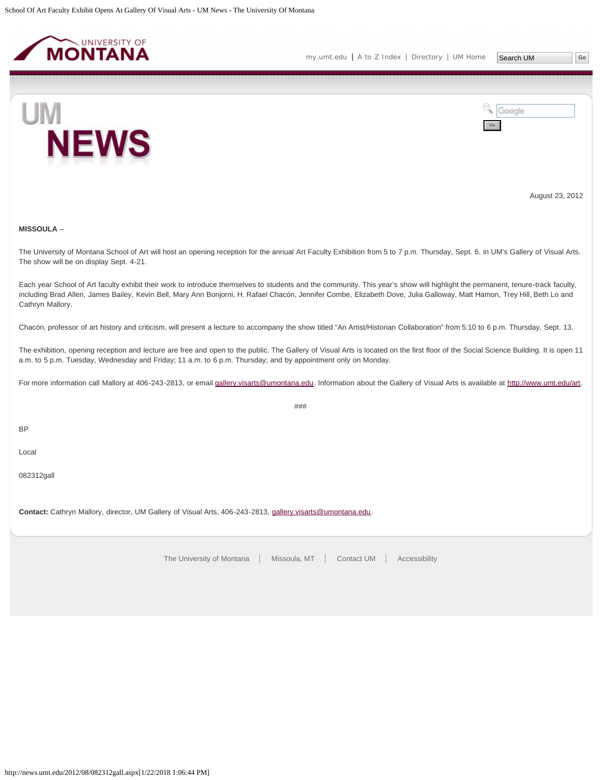<span id="page-16-0"></span>



August 23, 2012

# **MISSOULA** –

The University of Montana School of Art will host an opening reception for the annual Art Faculty Exhibition from 5 to 7 p.m. Thursday, Sept. 6, in UM's Gallery of Visual Arts. The show will be on display Sept. 4-21.

Each year School of Art faculty exhibit their work to introduce themselves to students and the community. This year's show will highlight the permanent, tenure-track faculty, including Brad Allen, James Bailey, Kevin Bell, Mary Ann Bonjorni, H. Rafael Chacón, Jennifer Combe, Elizabeth Dove, Julia Galloway, Matt Hamon, Trey Hill, Beth Lo and Cathryn Mallory.

Chacón, professor of art history and criticism, will present a lecture to accompany the show titled "An Artist/Historian Collaboration" from 5:10 to 6 p.m. Thursday, Sept. 13.

The exhibition, opening reception and lecture are free and open to the public. The Gallery of Visual Arts is located on the first floor of the Social Science Building. It is open 11 a.m. to 5 p.m. Tuesday, Wednesday and Friday; 11 a.m. to 6 p.m. Thursday; and by appointment only on Monday.

For more information call Mallory at 406-243-2813, or email [gallery.visarts@umontana.edu](mailto:gallery.visarts@umontana.edu). Information about the Gallery of Visual Arts is available at<http://www.umt.edu/art>.

###

BP

Local

082312gall

**Contact:** Cathryn Mallory, director, UM Gallery of Visual Arts, 406-243-2813, [gallery.visarts@umontana.edu](mailto:gallery.visarts@umontana.edu).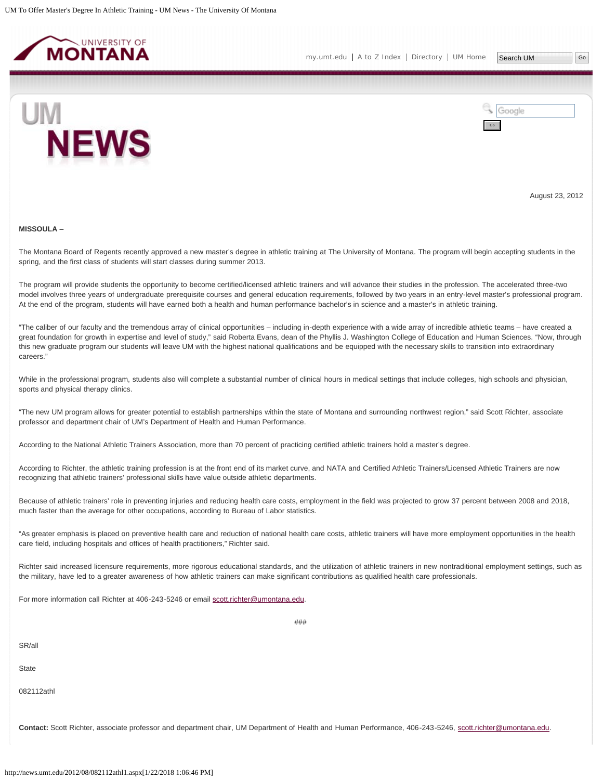<span id="page-17-0"></span>



August 23, 2012

### **MISSOULA** –

The Montana Board of Regents recently approved a new master's degree in athletic training at The University of Montana. The program will begin accepting students in the spring, and the first class of students will start classes during summer 2013.

The program will provide students the opportunity to become certified/licensed athletic trainers and will advance their studies in the profession. The accelerated three-two model involves three years of undergraduate prerequisite courses and general education requirements, followed by two years in an entry-level master's professional program. At the end of the program, students will have earned both a health and human performance bachelor's in science and a master's in athletic training.

"The caliber of our faculty and the tremendous array of clinical opportunities – including in-depth experience with a wide array of incredible athletic teams – have created a great foundation for growth in expertise and level of study," said Roberta Evans, dean of the Phyllis J. Washington College of Education and Human Sciences. "Now, through this new graduate program our students will leave UM with the highest national qualifications and be equipped with the necessary skills to transition into extraordinary careers."

While in the professional program, students also will complete a substantial number of clinical hours in medical settings that include colleges, high schools and physician, sports and physical therapy clinics.

"The new UM program allows for greater potential to establish partnerships within the state of Montana and surrounding northwest region," said Scott Richter, associate professor and department chair of UM's Department of Health and Human Performance.

According to the National Athletic Trainers Association, more than 70 percent of practicing certified athletic trainers hold a master's degree.

According to Richter, the athletic training profession is at the front end of its market curve, and NATA and Certified Athletic Trainers/Licensed Athletic Trainers are now recognizing that athletic trainers' professional skills have value outside athletic departments.

Because of athletic trainers' role in preventing injuries and reducing health care costs, employment in the field was projected to grow 37 percent between 2008 and 2018, much faster than the average for other occupations, according to Bureau of Labor statistics.

"As greater emphasis is placed on preventive health care and reduction of national health care costs, athletic trainers will have more employment opportunities in the health care field, including hospitals and offices of health practitioners," Richter said.

Richter said increased licensure requirements, more rigorous educational standards, and the utilization of athletic trainers in new nontraditional employment settings, such as the military, have led to a greater awareness of how athletic trainers can make significant contributions as qualified health care professionals.

 $#HH$ 

For more information call Richter at 406-243-5246 or email [scott.richter@umontana.edu.](mailto:scott.richter@umontana.edu)

SR/all

**State** 

082112athl

**Contact:** Scott Richter, associate professor and department chair, UM Department of Health and Human Performance, 406-243-5246, [scott.richter@umontana.edu.](mailto:scott.richter@umontana.edu)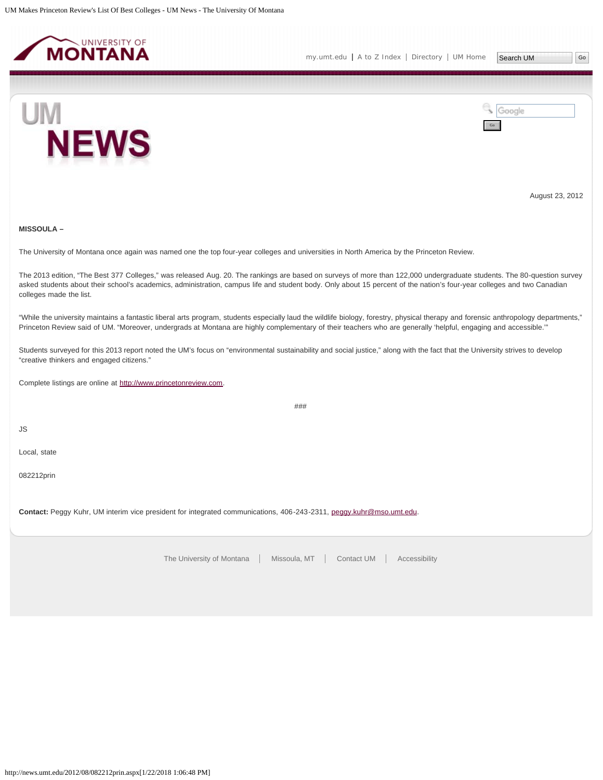<span id="page-19-0"></span>



August 23, 2012

# **MISSOULA –**

The University of Montana once again was named one the top four-year colleges and universities in North America by the Princeton Review.

The 2013 edition, "The Best 377 Colleges," was released Aug. 20. The rankings are based on surveys of more than 122,000 undergraduate students. The 80-question survey asked students about their school's academics, administration, campus life and student body. Only about 15 percent of the nation's four-year colleges and two Canadian colleges made the list.

"While the university maintains a fantastic liberal arts program, students especially laud the wildlife biology, forestry, physical therapy and forensic anthropology departments," Princeton Review said of UM. "Moreover, undergrads at Montana are highly complementary of their teachers who are generally 'helpful, engaging and accessible.'"

Students surveyed for this 2013 report noted the UM's focus on "environmental sustainability and social justice," along with the fact that the University strives to develop "creative thinkers and engaged citizens."

Complete listings are online at [http://www.princetonreview.com.](http://www.princetonreview.com/)

###

JS

Local, state

082212prin

**Contact:** Peggy Kuhr, UM interim vice president for integrated communications, 406-243-2311, [peggy.kuhr@mso.umt.edu.](mailto:peggy.kuhr@mso.umt.edu)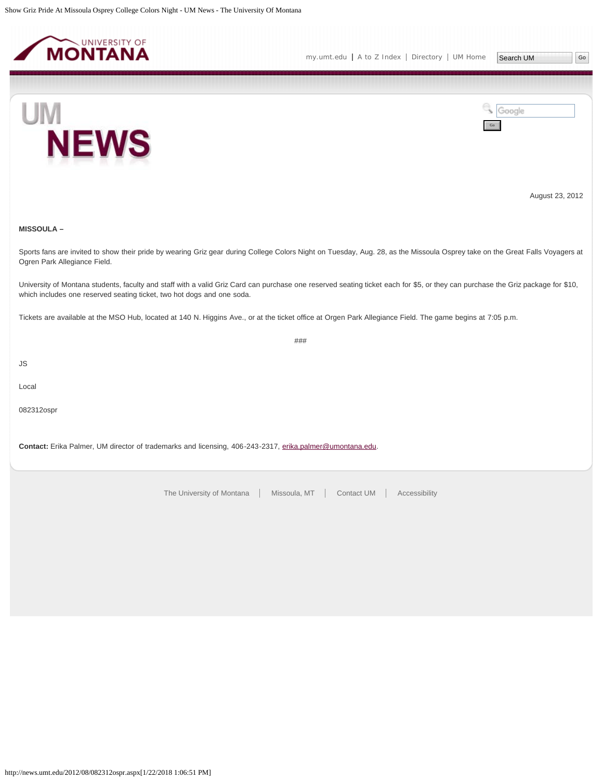<span id="page-20-0"></span>





August 23, 2012

# **MISSOULA –**

Sports fans are invited to show their pride by wearing Griz gear during College Colors Night on Tuesday, Aug. 28, as the Missoula Osprey take on the Great Falls Voyagers at Ogren Park Allegiance Field.

University of Montana students, faculty and staff with a valid Griz Card can purchase one reserved seating ticket each for \$5, or they can purchase the Griz package for \$10, which includes one reserved seating ticket, two hot dogs and one soda.

###

Tickets are available at the MSO Hub, located at 140 N. Higgins Ave., or at the ticket office at Orgen Park Allegiance Field. The game begins at 7:05 p.m.

JS

Local

082312ospr

**Contact:** Erika Palmer, UM director of trademarks and licensing, 406-243-2317, [erika.palmer@umontana.edu.](mailto:erika.palmer@umontana.edu)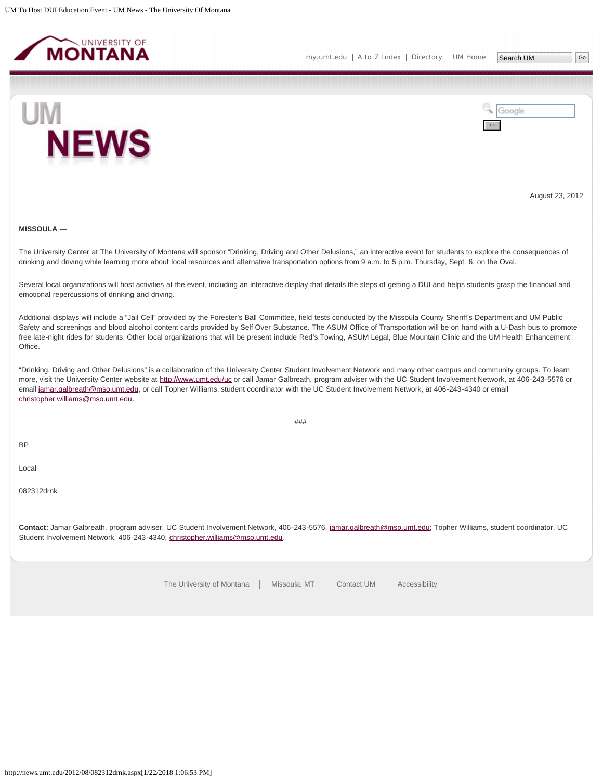<span id="page-21-0"></span>





August 23, 2012

#### **MISSOULA** ―

The University Center at The University of Montana will sponsor "Drinking, Driving and Other Delusions," an interactive event for students to explore the consequences of drinking and driving while learning more about local resources and alternative transportation options from 9 a.m. to 5 p.m. Thursday, Sept. 6, on the Oval.

Several local organizations will host activities at the event, including an interactive display that details the steps of getting a DUI and helps students grasp the financial and emotional repercussions of drinking and driving.

Additional displays will include a "Jail Cell" provided by the Forester's Ball Committee, field tests conducted by the Missoula County Sheriff's Department and UM Public Safety and screenings and blood alcohol content cards provided by Self Over Substance. The ASUM Office of Transportation will be on hand with a U-Dash bus to promote free late-night rides for students. Other local organizations that will be present include Red's Towing, ASUM Legal, Blue Mountain Clinic and the UM Health Enhancement Office.

"Drinking, Driving and Other Delusions" is a collaboration of the University Center Student Involvement Network and many other campus and community groups. To learn more, visit the University Center website at<http://www.umt.edu/uc> or call Jamar Galbreath, program adviser with the UC Student Involvement Network, at 406-243-5576 or email [jamar.galbreath@mso.umt.edu,](mailto:jamar.galbreath@mso.umt.edu) or call Topher Williams, student coordinator with the UC Student Involvement Network, at 406-243-4340 or email [christopher.williams@mso.umt.edu](mailto:christopher.williams@mso.umt.edu).

###

BP

Local

082312drnk

**Contact:** Jamar Galbreath, program adviser, UC Student Involvement Network, 406-243-5576, [jamar.galbreath@mso.umt.edu;](mailto:jamar.galbreath@mso.umt.edu) Topher Williams, student coordinator, UC Student Involvement Network, 406-243-4340, [christopher.williams@mso.umt.edu](mailto:christopher.williams@mso.umt.edu).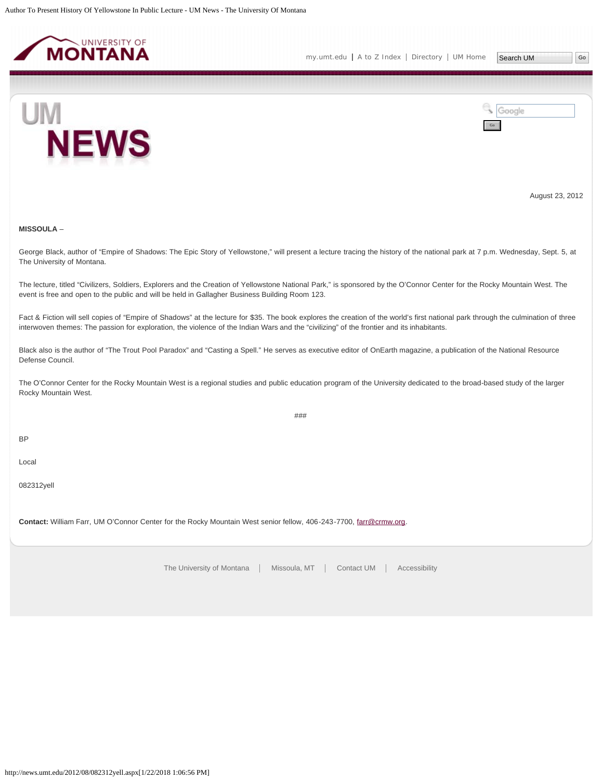<span id="page-22-0"></span>



August 23, 2012

# **MISSOULA** –

George Black, author of "Empire of Shadows: The Epic Story of Yellowstone," will present a lecture tracing the history of the national park at 7 p.m. Wednesday, Sept. 5, at The University of Montana.

The lecture, titled "Civilizers, Soldiers, Explorers and the Creation of Yellowstone National Park," is sponsored by the O'Connor Center for the Rocky Mountain West. The event is free and open to the public and will be held in Gallagher Business Building Room 123.

Fact & Fiction will sell copies of "Empire of Shadows" at the lecture for \$35. The book explores the creation of the world's first national park through the culmination of three interwoven themes: The passion for exploration, the violence of the Indian Wars and the "civilizing" of the frontier and its inhabitants.

Black also is the author of "The Trout Pool Paradox" and "Casting a Spell." He serves as executive editor of OnEarth magazine, a publication of the National Resource Defense Council.

The O'Connor Center for the Rocky Mountain West is a regional studies and public education program of the University dedicated to the broad-based study of the larger Rocky Mountain West.

###

BP

Local

082312yell

**Contact:** William Farr, UM O'Connor Center for the Rocky Mountain West senior fellow, 406-243-7700, [farr@crmw.org.](mailto:farr@crmw.org)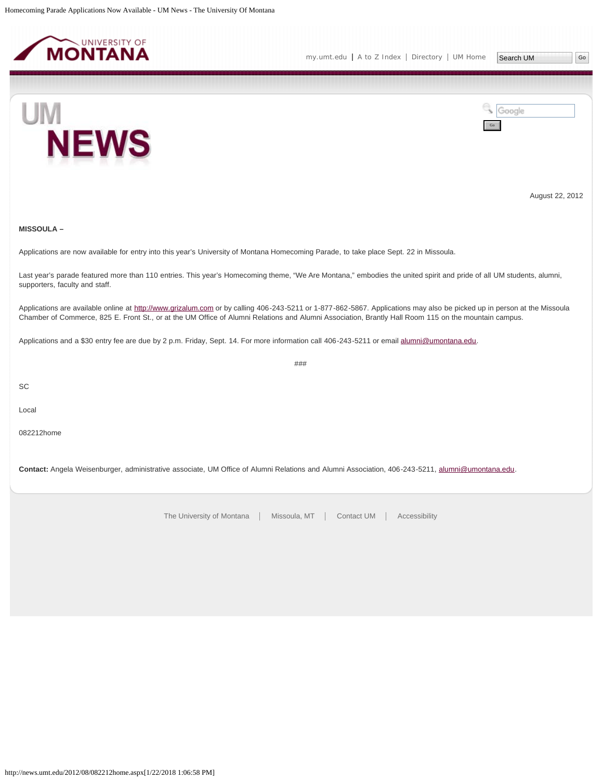<span id="page-23-0"></span>



August 22, 2012

# **MISSOULA –**

Applications are now available for entry into this year's University of Montana Homecoming Parade, to take place Sept. 22 in Missoula.

Last year's parade featured more than 110 entries. This year's Homecoming theme, "We Are Montana," embodies the united spirit and pride of all UM students, alumni, supporters, faculty and staff.

Applications are available online at [http://www.grizalum.com](http://www.grizalum.com/) or by calling 406-243-5211 or 1-877-862-5867. Applications may also be picked up in person at the Missoula Chamber of Commerce, 825 E. Front St., or at the UM Office of Alumni Relations and Alumni Association, Brantly Hall Room 115 on the mountain campus.

###

Applications and a \$30 entry fee are due by 2 p.m. Friday, Sept. 14. For more information call 406-243-5211 or email [alumni@umontana.edu](file:///C:/Users/Alyse.Backus/AppData/Local/Microsoft/Windows/Temporary Internet Files/Content.IE5/FLT47X2D/alumni@umontana.edu).

**SC** 

Local

082212home

**Contact:** Angela Weisenburger, administrative associate, UM Office of Alumni Relations and Alumni Association, 406-243-5211, [alumni@umontana.edu.](mailto:alumni@umontana.edu)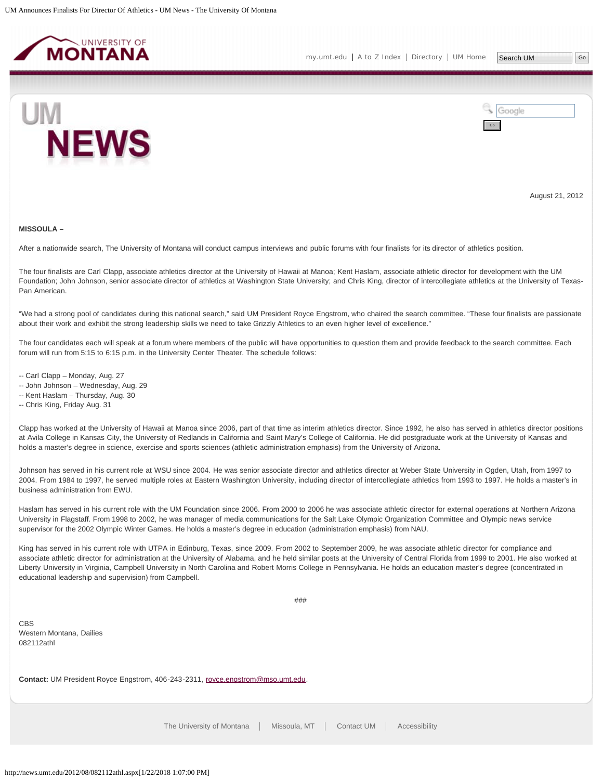<span id="page-24-0"></span>



August 21, 2012

#### **MISSOULA –**

After a nationwide search, The University of Montana will conduct campus interviews and public forums with four finalists for its director of athletics position.

The four finalists are Carl Clapp, associate athletics director at the University of Hawaii at Manoa; Kent Haslam, associate athletic director for development with the UM Foundation; John Johnson, senior associate director of athletics at Washington State University; and Chris King, director of intercollegiate athletics at the University of Texas-Pan American.

"We had a strong pool of candidates during this national search," said UM President Royce Engstrom, who chaired the search committee. "These four finalists are passionate about their work and exhibit the strong leadership skills we need to take Grizzly Athletics to an even higher level of excellence."

The four candidates each will speak at a forum where members of the public will have opportunities to question them and provide feedback to the search committee. Each forum will run from 5:15 to 6:15 p.m. in the University Center Theater. The schedule follows:

- -- Carl Clapp Monday, Aug. 27
- -- John Johnson Wednesday, Aug. 29
- -- Kent Haslam Thursday, Aug. 30
- -- Chris King, Friday Aug. 31

Clapp has worked at the University of Hawaii at Manoa since 2006, part of that time as interim athletics director. Since 1992, he also has served in athletics director positions at Avila College in Kansas City, the University of Redlands in California and Saint Mary's College of California. He did postgraduate work at the University of Kansas and holds a master's degree in science, exercise and sports sciences (athletic administration emphasis) from the University of Arizona.

Johnson has served in his current role at WSU since 2004. He was senior associate director and athletics director at Weber State University in Ogden, Utah, from 1997 to 2004. From 1984 to 1997, he served multiple roles at Eastern Washington University, including director of intercollegiate athletics from 1993 to 1997. He holds a master's in business administration from EWU.

Haslam has served in his current role with the UM Foundation since 2006. From 2000 to 2006 he was associate athletic director for external operations at Northern Arizona University in Flagstaff. From 1998 to 2002, he was manager of media communications for the Salt Lake Olympic Organization Committee and Olympic news service supervisor for the 2002 Olympic Winter Games. He holds a master's degree in education (administration emphasis) from NAU.

King has served in his current role with UTPA in Edinburg, Texas, since 2009. From 2002 to September 2009, he was associate athletic director for compliance and associate athletic director for administration at the University of Alabama, and he held similar posts at the University of Central Florida from 1999 to 2001. He also worked at Liberty University in Virginia, Campbell University in North Carolina and Robert Morris College in Pennsylvania. He holds an education master's degree (concentrated in educational leadership and supervision) from Campbell.

###

CBS Western Montana, Dailies 082112athl

**Contact:** UM President Royce Engstrom, 406-243-2311, [royce.engstrom@mso.umt.edu.](mailto:royce.engstrom@mso.umt.edu)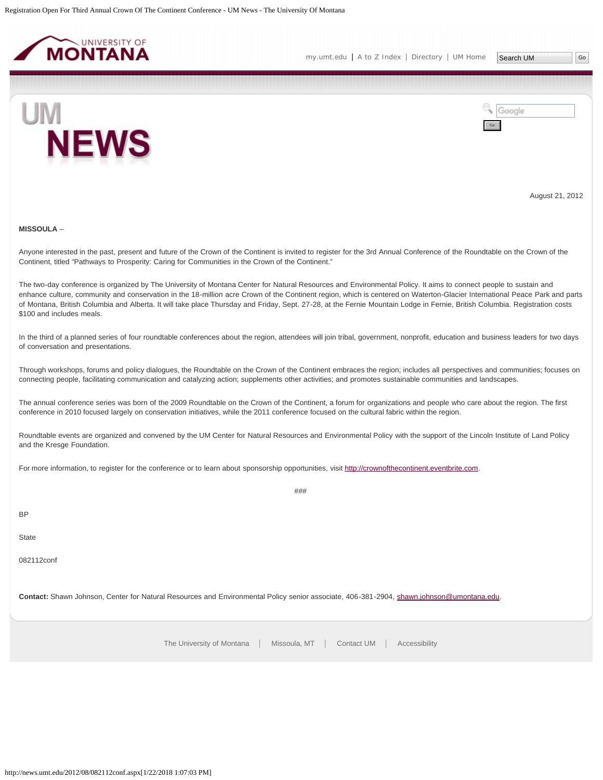<span id="page-25-0"></span>

Google



Go

August 21, 2012

#### **MISSOULA** –

Anyone interested in the past, present and future of the Crown of the Continent is invited to register for the 3rd Annual Conference of the Roundtable on the Crown of the Continent, titled "Pathways to Prosperity: Caring for Communities in the Crown of the Continent."

The two-day conference is organized by The University of Montana Center for Natural Resources and Environmental Policy. It aims to connect people to sustain and enhance culture, community and conservation in the 18-million acre Crown of the Continent region, which is centered on Waterton-Glacier International Peace Park and parts of Montana, British Columbia and Alberta. It will take place Thursday and Friday, Sept. 27-28, at the Fernie Mountain Lodge in Fernie, British Columbia. Registration costs \$100 and includes meals.

In the third of a planned series of four roundtable conferences about the region, attendees will join tribal, government, nonprofit, education and business leaders for two days of conversation and presentations.

Through workshops, forums and policy dialogues, the Roundtable on the Crown of the Continent embraces the region; includes all perspectives and communities; focuses on connecting people, facilitating communication and catalyzing action; supplements other activities; and promotes sustainable communities and landscapes.

The annual conference series was born of the 2009 Roundtable on the Crown of the Continent, a forum for organizations and people who care about the region. The first conference in 2010 focused largely on conservation initiatives, while the 2011 conference focused on the cultural fabric within the region.

Roundtable events are organized and convened by the UM Center for Natural Resources and Environmental Policy with the support of the Lincoln Institute of Land Policy and the Kresge Foundation.

###

For more information, to register for the conference or to learn about sponsorship opportunities, visit [http://crownofthecontinent.eventbrite.com.](http://crownofthecontinent.eventbrite.com/)

BP

**State** 

082112conf

**Contact:** Shawn Johnson, Center for Natural Resources and Environmental Policy senior associate, 406-381-2904, [shawn.johnson@umontana.edu](mailto:shawn.johnson@umontana.edu).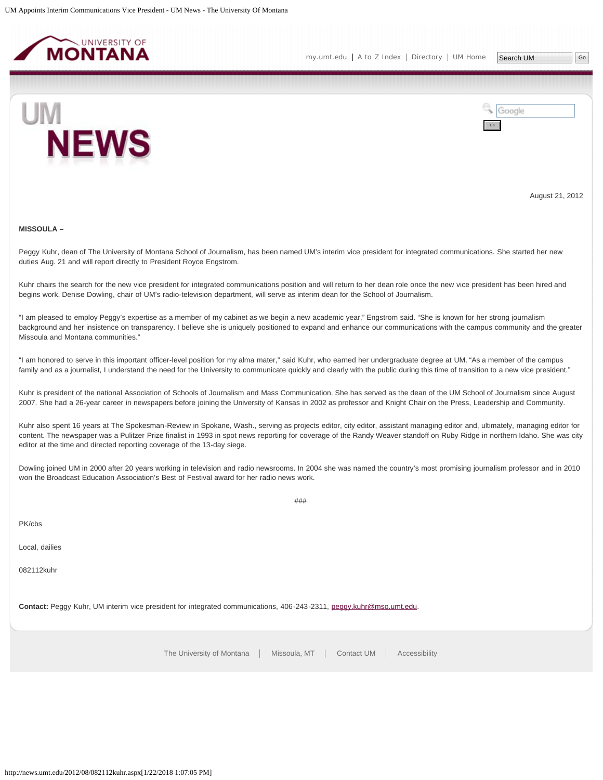<span id="page-26-0"></span>

Go

Google



August 21, 2012

#### **MISSOULA –**

Peggy Kuhr, dean of The University of Montana School of Journalism, has been named UM's interim vice president for integrated communications. She started her new duties Aug. 21 and will report directly to President Royce Engstrom.

Kuhr chairs the search for the new vice president for integrated communications position and will return to her dean role once the new vice president has been hired and begins work. Denise Dowling, chair of UM's radio-television department, will serve as interim dean for the School of Journalism.

"I am pleased to employ Peggy's expertise as a member of my cabinet as we begin a new academic year," Engstrom said. "She is known for her strong journalism background and her insistence on transparency. I believe she is uniquely positioned to expand and enhance our communications with the campus community and the greater Missoula and Montana communities."

"I am honored to serve in this important officer-level position for my alma mater," said Kuhr, who earned her undergraduate degree at UM. "As a member of the campus family and as a journalist, I understand the need for the University to communicate quickly and clearly with the public during this time of transition to a new vice president."

Kuhr is president of the national Association of Schools of Journalism and Mass Communication. She has served as the dean of the UM School of Journalism since August 2007. She had a 26-year career in newspapers before joining the University of Kansas in 2002 as professor and Knight Chair on the Press, Leadership and Community.

Kuhr also spent 16 years at The Spokesman-Review in Spokane, Wash., serving as projects editor, city editor, assistant managing editor and, ultimately, managing editor for content. The newspaper was a Pulitzer Prize finalist in 1993 in spot news reporting for coverage of the Randy Weaver standoff on Ruby Ridge in northern Idaho. She was city editor at the time and directed reporting coverage of the 13-day siege.

Dowling joined UM in 2000 after 20 years working in television and radio newsrooms. In 2004 she was named the country's most promising journalism professor and in 2010 won the Broadcast Education Association's Best of Festival award for her radio news work.

###

PK/cbs

Local, dailies

082112kuhr

**Contact:** Peggy Kuhr, UM interim vice president for integrated communications, 406-243-2311, [peggy.kuhr@mso.umt.edu.](mailto:peggy.kuhr@mso.umt.edu)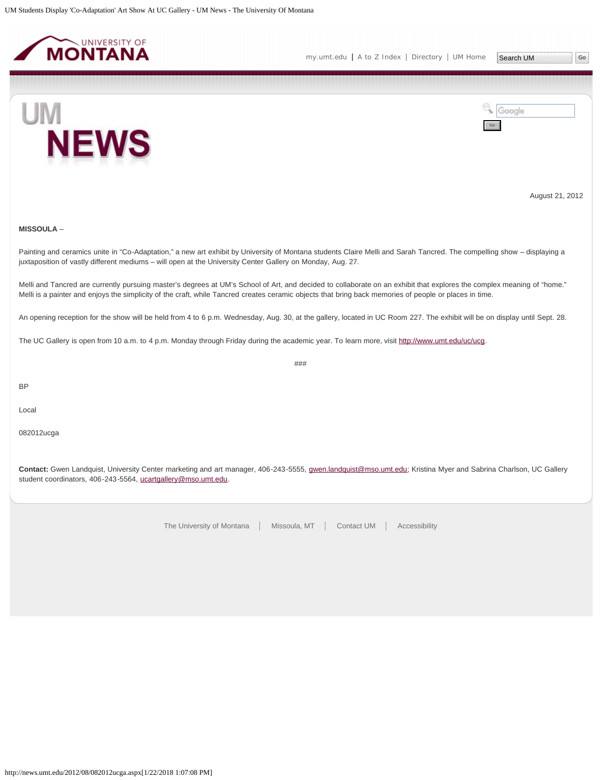<span id="page-27-0"></span>



August 21, 2012

# **MISSOULA** –

Painting and ceramics unite in "Co-Adaptation," a new art exhibit by University of Montana students Claire Melli and Sarah Tancred. The compelling show – displaying a juxtaposition of vastly different mediums – will open at the University Center Gallery on Monday, Aug. 27.

Melli and Tancred are currently pursuing master's degrees at UM's School of Art, and decided to collaborate on an exhibit that explores the complex meaning of "home." Melli is a painter and enjoys the simplicity of the craft, while Tancred creates ceramic objects that bring back memories of people or places in time.

An opening reception for the show will be held from 4 to 6 p.m. Wednesday, Aug. 30, at the gallery, located in UC Room 227. The exhibit will be on display until Sept. 28.

###

The UC Gallery is open from 10 a.m. to 4 p.m. Monday through Friday during the academic year. To learn more, visit [http://www.umt.edu/uc/ucg.](http://www.umt.edu/uc/ucg)

BP

Local

082012ucga

**Contact:** Gwen Landquist, University Center marketing and art manager, 406-243-5555, [gwen.landquist@mso.umt.edu;](mailto:gwen.landquist@mso.umt.edu) Kristina Myer and Sabrina Charlson, UC Gallery student coordinators, 406-243-5564, [ucartgallery@mso.umt.edu.](mailto:ucartgallery@mso.umt.edu)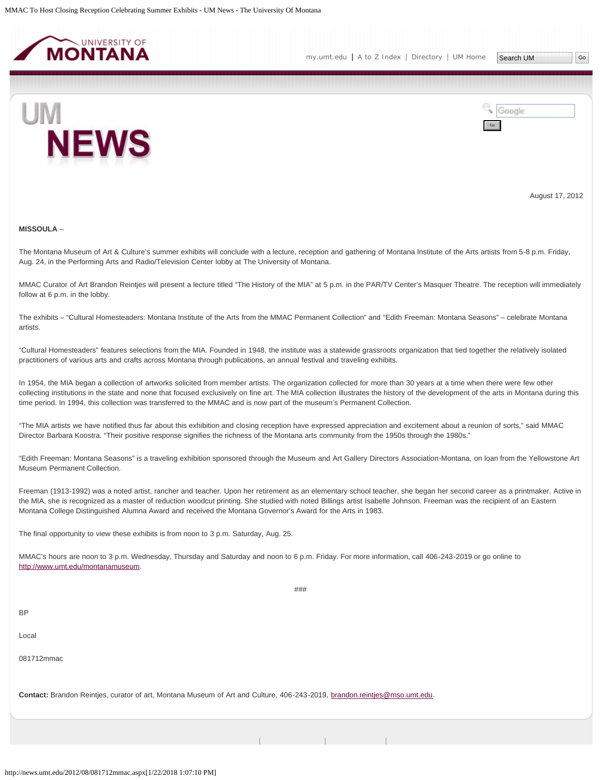<span id="page-28-0"></span>



August 17, 2012

### **MISSOULA** –

The Montana Museum of Art & Culture's summer exhibits will conclude with a lecture, reception and gathering of Montana Institute of the Arts artists from 5-8 p.m. Friday, Aug. 24, in the Performing Arts and Radio/Television Center lobby at The University of Montana.

MMAC Curator of Art Brandon Reintjes will present a lecture titled "The History of the MIA" at 5 p.m. in the PAR/TV Center's Masquer Theatre. The reception will immediately follow at 6 p.m. in the lobby.

The exhibits – "Cultural Homesteaders: Montana Institute of the Arts from the MMAC Permanent Collection" and "Edith Freeman: Montana Seasons" – celebrate Montana artists.

"Cultural Homesteaders" features selections from the MIA. Founded in 1948, the institute was a statewide grassroots organization that tied together the relatively isolated practitioners of various arts and crafts across Montana through publications, an annual festival and traveling exhibits.

In 1954, the MIA began a collection of artworks solicited from member artists. The organization collected for more than 30 years at a time when there were few other collecting institutions in the state and none that focused exclusively on fine art. The MIA collection illustrates the history of the development of the arts in Montana during this time period. In 1994, this collection was transferred to the MMAC and is now part of the museum's Permanent Collection.

"The MIA artists we have notified thus far about this exhibition and closing reception have expressed appreciation and excitement about a reunion of sorts," said MMAC Director Barbara Koostra. "Their positive response signifies the richness of the Montana arts community from the 1950s through the 1980s."

"Edith Freeman: Montana Seasons" is a traveling exhibition sponsored through the Museum and Art Gallery Directors Association-Montana, on loan from the Yellowstone Art Museum Permanent Collection.

Freeman (1913-1992) was a noted artist, rancher and teacher. Upon her retirement as an elementary school teacher, she began her second career as a printmaker. Active in the MIA, she is recognized as a master of reduction woodcut printing. She studied with noted Billings artist Isabelle Johnson. Freeman was the recipient of an Eastern Montana College Distinguished Alumna Award and received the Montana Governor's Award for the Arts in 1983.

###

The final opportunity to view these exhibits is from noon to 3 p.m. Saturday, Aug. 25.

MMAC's hours are noon to 3 p.m. Wednesday, Thursday and Saturday and noon to 6 p.m. Friday. For more information, call 406-243-2019 or go online to [http://www.umt.edu/montanamuseum.](http://www.umt.edu/montanamuseum)

**BP** 

Local

081712mmac

**Contact:** Brandon Reintjes, curator of art, Montana Museum of Art and Culture, 406-243-2019, [brandon.reintjes@mso.umt.edu.](mailto:brandon.reintjes@mso.umt.edu)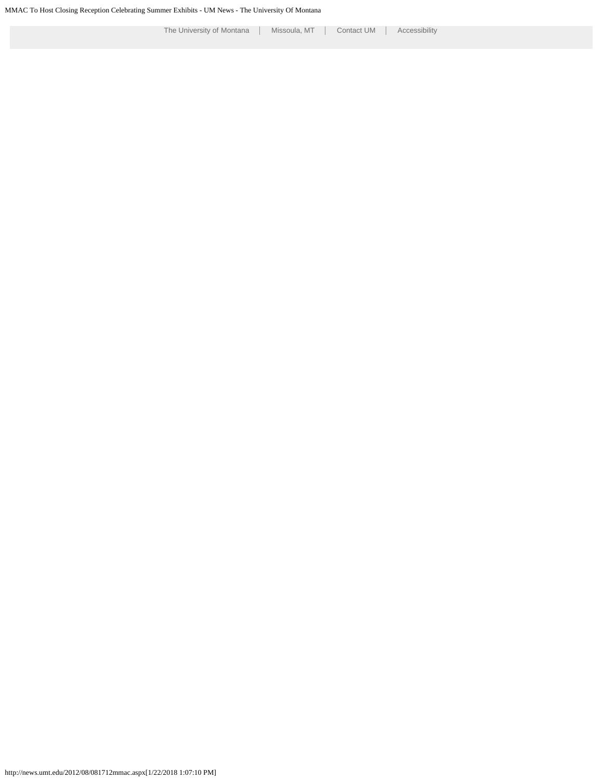http://news.umt.edu/2012/08/081712mmac.aspx[1/22/2018 1:07:10 PM]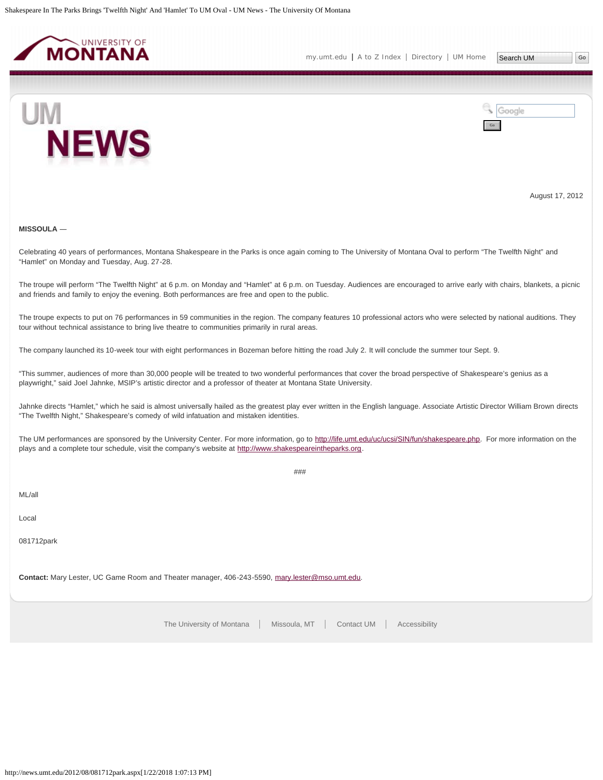<span id="page-30-0"></span>



August 17, 2012

### **MISSOULA** ―

Celebrating 40 years of performances, Montana Shakespeare in the Parks is once again coming to The University of Montana Oval to perform "The Twelfth Night" and "Hamlet" on Monday and Tuesday, Aug. 27-28.

The troupe will perform "The Twelfth Night" at 6 p.m. on Monday and "Hamlet" at 6 p.m. on Tuesday. Audiences are encouraged to arrive early with chairs, blankets, a picnic and friends and family to enjoy the evening. Both performances are free and open to the public.

The troupe expects to put on 76 performances in 59 communities in the region. The company features 10 professional actors who were selected by national auditions. They tour without technical assistance to bring live theatre to communities primarily in rural areas.

The company launched its 10-week tour with eight performances in Bozeman before hitting the road July 2. It will conclude the summer tour Sept. 9.

"This summer, audiences of more than 30,000 people will be treated to two wonderful performances that cover the broad perspective of Shakespeare's genius as a playwright," said Joel Jahnke, MSIP's artistic director and a professor of theater at Montana State University.

Jahnke directs "Hamlet," which he said is almost universally hailed as the greatest play ever written in the English language. Associate Artistic Director William Brown directs "The Twelfth Night," Shakespeare's comedy of wild infatuation and mistaken identities.

The UM performances are sponsored by the University Center. For more information, go to [http://life.umt.edu/uc/ucsi/SIN/fun/shakespeare.php.](http://life.umt.edu/uc/ucsi/SIN/fun/shakespeare.php) For more information on the plays and a complete tour schedule, visit the company's website at [http://www.shakespeareintheparks.org](http://www.shakespeareintheparks.org/).

###

ML/all

Local

081712park

**Contact:** Mary Lester, UC Game Room and Theater manager, 406-243-5590, [mary.lester@mso.umt.edu](mailto:mary.lester@mso.umt.edu).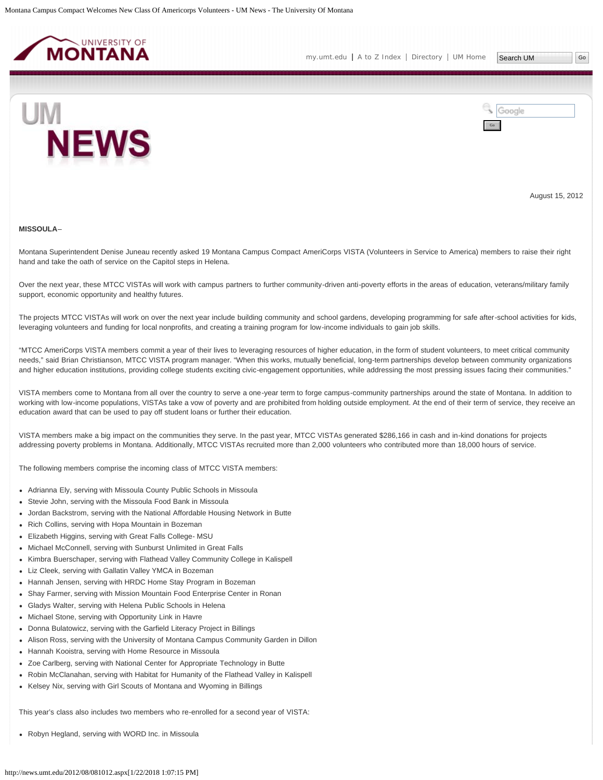<span id="page-31-0"></span>



August 15, 2012

#### **MISSOULA**–

Montana Superintendent Denise Juneau recently asked 19 Montana Campus Compact AmeriCorps VISTA (Volunteers in Service to America) members to raise their right hand and take the oath of service on the Capitol steps in Helena.

Over the next year, these MTCC VISTAs will work with campus partners to further community-driven anti-poverty efforts in the areas of education, veterans/military family support, economic opportunity and healthy futures.

The projects MTCC VISTAs will work on over the next year include building community and school gardens, developing programming for safe after-school activities for kids, leveraging volunteers and funding for local nonprofits, and creating a training program for low-income individuals to gain job skills.

"MTCC AmeriCorps VISTA members commit a year of their lives to leveraging resources of higher education, in the form of student volunteers, to meet critical community needs," said Brian Christianson, MTCC VISTA program manager. "When this works, mutually beneficial, long-term partnerships develop between community organizations and higher education institutions, providing college students exciting civic-engagement opportunities, while addressing the most pressing issues facing their communities."

VISTA members come to Montana from all over the country to serve a one-year term to forge campus-community partnerships around the state of Montana. In addition to working with low-income populations, VISTAs take a vow of poverty and are prohibited from holding outside employment. At the end of their term of service, they receive an education award that can be used to pay off student loans or further their education.

VISTA members make a big impact on the communities they serve. In the past year, MTCC VISTAs generated \$286,166 in cash and in-kind donations for projects addressing poverty problems in Montana. Additionally, MTCC VISTAs recruited more than 2,000 volunteers who contributed more than 18,000 hours of service.

The following members comprise the incoming class of MTCC VISTA members:

- Adrianna Ely, serving with Missoula County Public Schools in Missoula
- Stevie John, serving with the Missoula Food Bank in Missoula
- Jordan Backstrom, serving with the National Affordable Housing Network in Butte
- Rich Collins, serving with Hopa Mountain in Bozeman
- Elizabeth Higgins, serving with Great Falls College- MSU
- Michael McConnell, serving with Sunburst Unlimited in Great Falls
- Kimbra Buerschaper, serving with Flathead Valley Community College in Kalispell
- Liz Cleek, serving with Gallatin Valley YMCA in Bozeman
- Hannah Jensen, serving with HRDC Home Stay Program in Bozeman
- Shay Farmer, serving with Mission Mountain Food Enterprise Center in Ronan
- Gladys Walter, serving with Helena Public Schools in Helena
- Michael Stone, serving with Opportunity Link in Havre
- Donna Bulatowicz, serving with the Garfield Literacy Project in Billings
- Alison Ross, serving with the University of Montana Campus Community Garden in Dillon
- Hannah Kooistra, serving with Home Resource in Missoula
- Zoe Carlberg, serving with National Center for Appropriate Technology in Butte
- Robin McClanahan, serving with Habitat for Humanity of the Flathead Valley in Kalispell
- Kelsey Nix, serving with Girl Scouts of Montana and Wyoming in Billings

This year's class also includes two members who re-enrolled for a second year of VISTA:

Robyn Hegland, serving with WORD Inc. in Missoula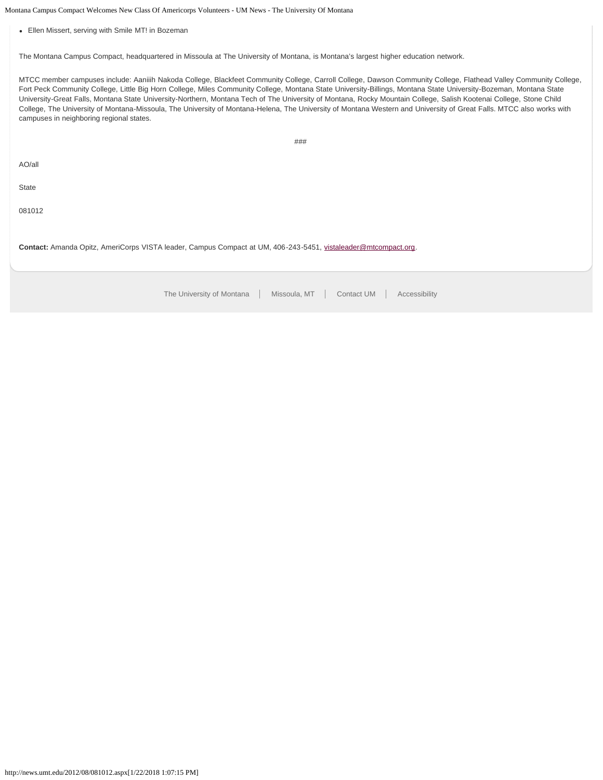Montana Campus Compact Welcomes New Class Of Americorps Volunteers - UM News - The University Of Montana

Ellen Missert, serving with Smile MT! in Bozeman

The Montana Campus Compact, headquartered in Missoula at The University of Montana, is Montana's largest higher education network.

MTCC member campuses include: Aaniiih Nakoda College, Blackfeet Community College, Carroll College, Dawson Community College, Flathead Valley Community College, Fort Peck Community College, Little Big Horn College, Miles Community College, Montana State University-Billings, Montana State University-Bozeman, Montana State University-Great Falls, Montana State University-Northern, Montana Tech of The University of Montana, Rocky Mountain College, Salish Kootenai College, Stone Child College, The University of Montana-Missoula, The University of Montana-Helena, The University of Montana Western and University of Great Falls. MTCC also works with campuses in neighboring regional states.

###

AO/all

**State** 

081012

**Contact:** Amanda Opitz, AmeriCorps VISTA leader, Campus Compact at UM, 406-243-5451, [vistaleader@mtcompact.org](mailto:vistaleader@mtcompact.org).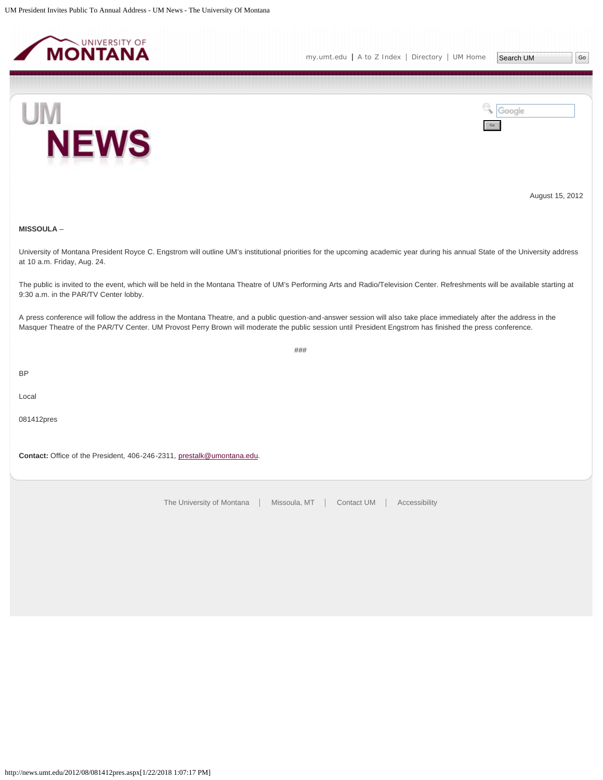<span id="page-33-0"></span>



August 15, 2012

# **MISSOULA** –

University of Montana President Royce C. Engstrom will outline UM's institutional priorities for the upcoming academic year during his annual State of the University address at 10 a.m. Friday, Aug. 24.

The public is invited to the event, which will be held in the Montana Theatre of UM's Performing Arts and Radio/Television Center. Refreshments will be available starting at 9:30 a.m. in the PAR/TV Center lobby.

A press conference will follow the address in the Montana Theatre, and a public question-and-answer session will also take place immediately after the address in the Masquer Theatre of the PAR/TV Center. UM Provost Perry Brown will moderate the public session until President Engstrom has finished the press conference.

###

BP

Local

081412pres

**Contact:** Office of the President, 406-246-2311, [prestalk@umontana.edu](mailto:prestalk@umontana.edu).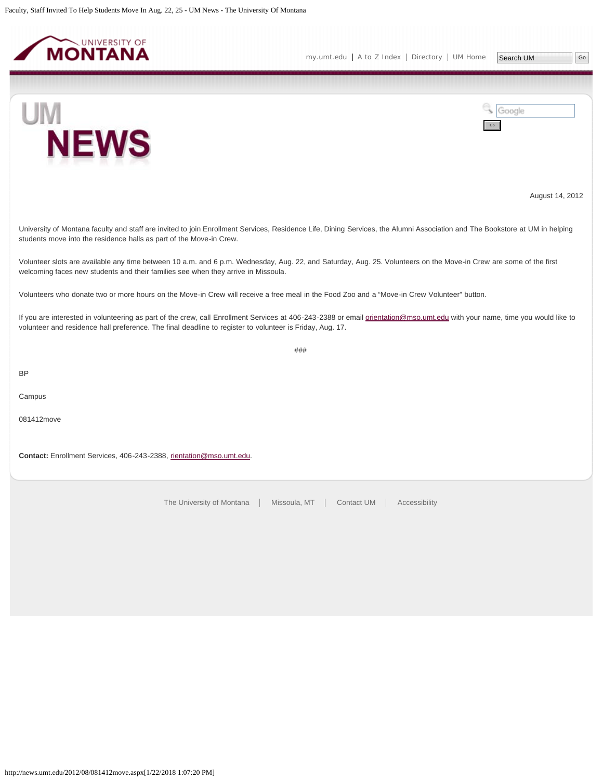<span id="page-34-0"></span>

**NEWS** 

UM





August 14, 2012

University of Montana faculty and staff are invited to join Enrollment Services, Residence Life, Dining Services, the Alumni Association and The Bookstore at UM in helping students move into the residence halls as part of the Move-in Crew.

Volunteer slots are available any time between 10 a.m. and 6 p.m. Wednesday, Aug. 22, and Saturday, Aug. 25. Volunteers on the Move-in Crew are some of the first welcoming faces new students and their families see when they arrive in Missoula.

Volunteers who donate two or more hours on the Move-in Crew will receive a free meal in the Food Zoo and a "Move-in Crew Volunteer" button.

If you are interested in volunteering as part of the crew, call Enrollment Services at 406-243-2388 or email [orientation@mso.umt.edu](mailto:orientation@mso.umt.edu) with your name, time you would like to volunteer and residence hall preference. The final deadline to register to volunteer is Friday, Aug. 17.

###

BP

Campus

081412move

**Contact:** Enrollment Services, 406-243-2388, [rientation@mso.umt.edu](mailto:rientation@mso.umt.edu).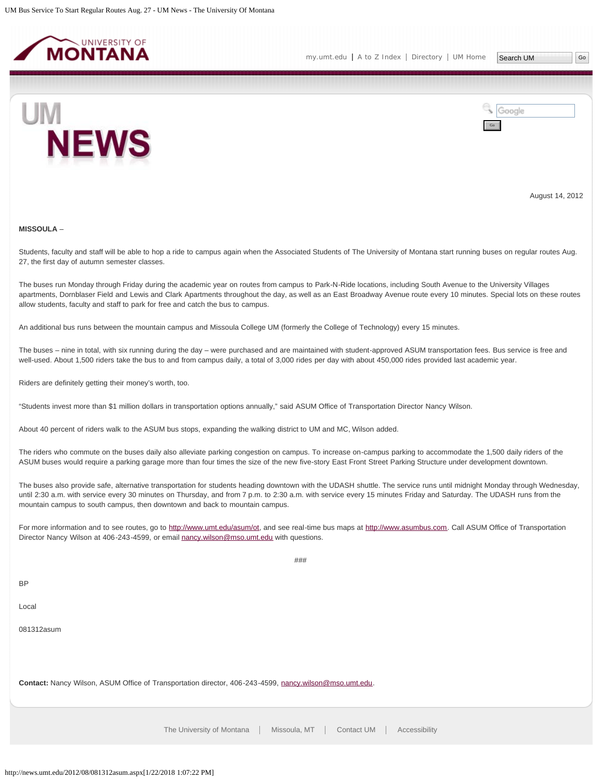<span id="page-35-0"></span>



August 14, 2012

### **MISSOULA** –

Students, faculty and staff will be able to hop a ride to campus again when the Associated Students of The University of Montana start running buses on regular routes Aug. 27, the first day of autumn semester classes.

The buses run Monday through Friday during the academic year on routes from campus to Park-N-Ride locations, including South Avenue to the University Villages apartments, Dornblaser Field and Lewis and Clark Apartments throughout the day, as well as an East Broadway Avenue route every 10 minutes. Special lots on these routes allow students, faculty and staff to park for free and catch the bus to campus.

An additional bus runs between the mountain campus and Missoula College UM (formerly the College of Technology) every 15 minutes.

The buses – nine in total, with six running during the day – were purchased and are maintained with student-approved ASUM transportation fees. Bus service is free and well-used. About 1,500 riders take the bus to and from campus daily, a total of 3,000 rides per day with about 450,000 rides provided last academic year.

Riders are definitely getting their money's worth, too.

"Students invest more than \$1 million dollars in transportation options annually," said ASUM Office of Transportation Director Nancy Wilson.

About 40 percent of riders walk to the ASUM bus stops, expanding the walking district to UM and MC, Wilson added.

The riders who commute on the buses daily also alleviate parking congestion on campus. To increase on-campus parking to accommodate the 1,500 daily riders of the ASUM buses would require a parking garage more than four times the size of the new five-story East Front Street Parking Structure under development downtown.

The buses also provide safe, alternative transportation for students heading downtown with the UDASH shuttle. The service runs until midnight Monday through Wednesday, until 2:30 a.m. with service every 30 minutes on Thursday, and from 7 p.m. to 2:30 a.m. with service every 15 minutes Friday and Saturday. The UDASH runs from the mountain campus to south campus, then downtown and back to mountain campus.

For more information and to see routes, go to<http://www.umt.edu/asum/ot>, and see real-time bus maps at [http://www.asumbus.com](http://www.asumbus.com/). Call ASUM Office of Transportation Director Nancy Wilson at 406-243-4599, or email [nancy.wilson@mso.umt.edu](mailto:nancy.wilson@mso.umt.edu) with questions.

###

BP

Local

081312asum

**Contact:** Nancy Wilson, ASUM Office of Transportation director, 406-243-4599, [nancy.wilson@mso.umt.edu.](mailto:nancy.wilson@mso.umt.edu)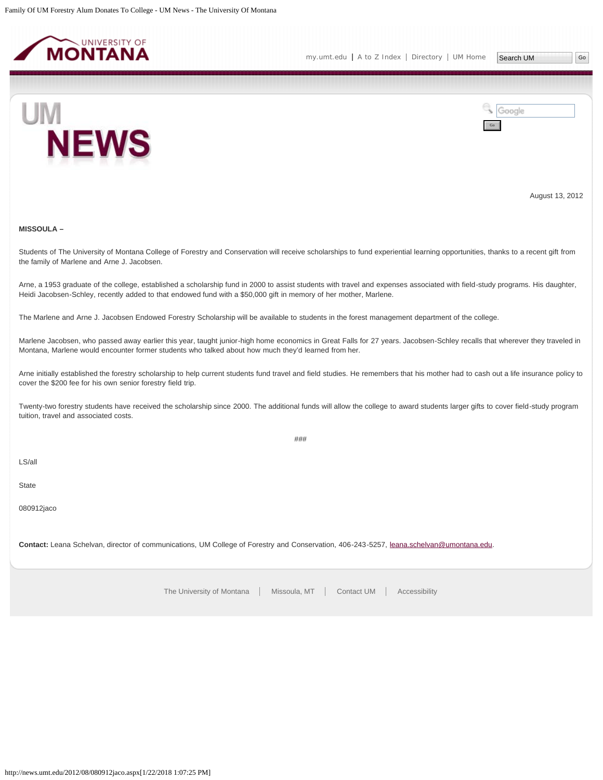<span id="page-37-0"></span>



August 13, 2012

# **MISSOULA –**

Students of The University of Montana College of Forestry and Conservation will receive scholarships to fund experiential learning opportunities, thanks to a recent gift from the family of Marlene and Arne J. Jacobsen.

Arne, a 1953 graduate of the college, established a scholarship fund in 2000 to assist students with travel and expenses associated with field-study programs. His daughter, Heidi Jacobsen-Schley, recently added to that endowed fund with a \$50,000 gift in memory of her mother, Marlene.

The Marlene and Arne J. Jacobsen Endowed Forestry Scholarship will be available to students in the forest management department of the college.

Marlene Jacobsen, who passed away earlier this year, taught junior-high home economics in Great Falls for 27 years. Jacobsen-Schley recalls that wherever they traveled in Montana, Marlene would encounter former students who talked about how much they'd learned from her.

Arne initially established the forestry scholarship to help current students fund travel and field studies. He remembers that his mother had to cash out a life insurance policy to cover the \$200 fee for his own senior forestry field trip.

Twenty-two forestry students have received the scholarship since 2000. The additional funds will allow the college to award students larger gifts to cover field-study program tuition, travel and associated costs.

###

LS/all

State

080912jaco

**Contact:** Leana Schelvan, director of communications, UM College of Forestry and Conservation, 406-243-5257, [leana.schelvan@umontana.edu](mailto:leana.schelvan@umontana.edu).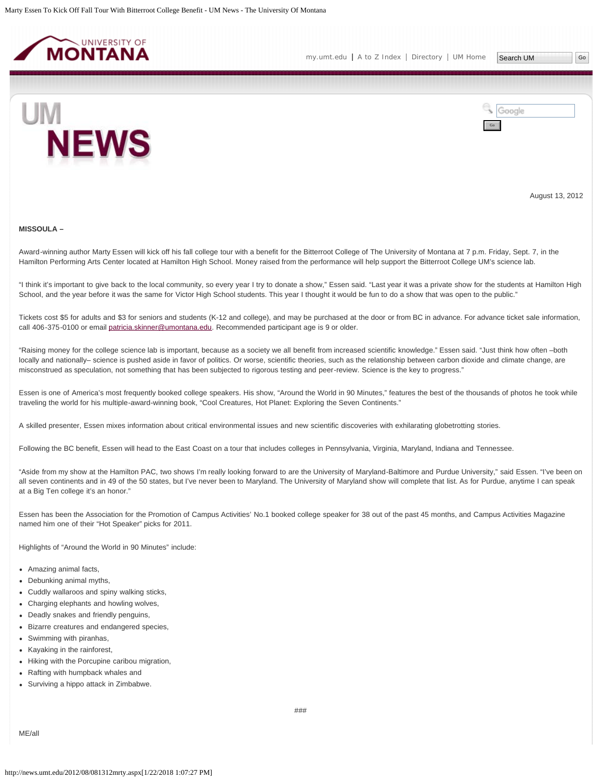<span id="page-38-0"></span>



August 13, 2012

### **MISSOULA –**

Award-winning author Marty Essen will kick off his fall college tour with a benefit for the Bitterroot College of The University of Montana at 7 p.m. Friday, Sept. 7, in the Hamilton Performing Arts Center located at Hamilton High School. Money raised from the performance will help support the Bitterroot College UM's science lab.

"I think it's important to give back to the local community, so every year I try to donate a show," Essen said. "Last year it was a private show for the students at Hamilton High School, and the year before it was the same for Victor High School students. This year I thought it would be fun to do a show that was open to the public."

Tickets cost \$5 for adults and \$3 for seniors and students (K-12 and college), and may be purchased at the door or from BC in advance. For advance ticket sale information, call 406-375-0100 or email [patricia.skinner@umontana.edu](mailto:patricia.skinner@umontana.edu). Recommended participant age is 9 or older.

"Raising money for the college science lab is important, because as a society we all benefit from increased scientific knowledge." Essen said. "Just think how often –both locally and nationally– science is pushed aside in favor of politics. Or worse, scientific theories, such as the relationship between carbon dioxide and climate change, are misconstrued as speculation, not something that has been subjected to rigorous testing and peer-review. Science is the key to progress."

Essen is one of America's most frequently booked college speakers. His show, "Around the World in 90 Minutes," features the best of the thousands of photos he took while traveling the world for his multiple-award-winning book, "Cool Creatures, Hot Planet: Exploring the Seven Continents."

A skilled presenter, Essen mixes information about critical environmental issues and new scientific discoveries with exhilarating globetrotting stories.

Following the BC benefit, Essen will head to the East Coast on a tour that includes colleges in Pennsylvania, Virginia, Maryland, Indiana and Tennessee.

"Aside from my show at the Hamilton PAC, two shows I'm really looking forward to are the University of Maryland-Baltimore and Purdue University," said Essen. "I've been on all seven continents and in 49 of the 50 states, but I've never been to Maryland. The University of Maryland show will complete that list. As for Purdue, anytime I can speak at a Big Ten college it's an honor."

Essen has been the Association for the Promotion of Campus Activities' No.1 booked college speaker for 38 out of the past 45 months, and Campus Activities Magazine named him one of their "Hot Speaker" picks for 2011.

Highlights of "Around the World in 90 Minutes" include:

- Amazing animal facts,
- Debunking animal myths,
- Cuddly wallaroos and spiny walking sticks,
- Charging elephants and howling wolves,
- Deadly snakes and friendly penguins,
- Bizarre creatures and endangered species,
- Swimming with piranhas,
- Kayaking in the rainforest,
- Hiking with the Porcupine caribou migration,
- Rafting with humpback whales and
- Surviving a hippo attack in Zimbabwe.

ME/all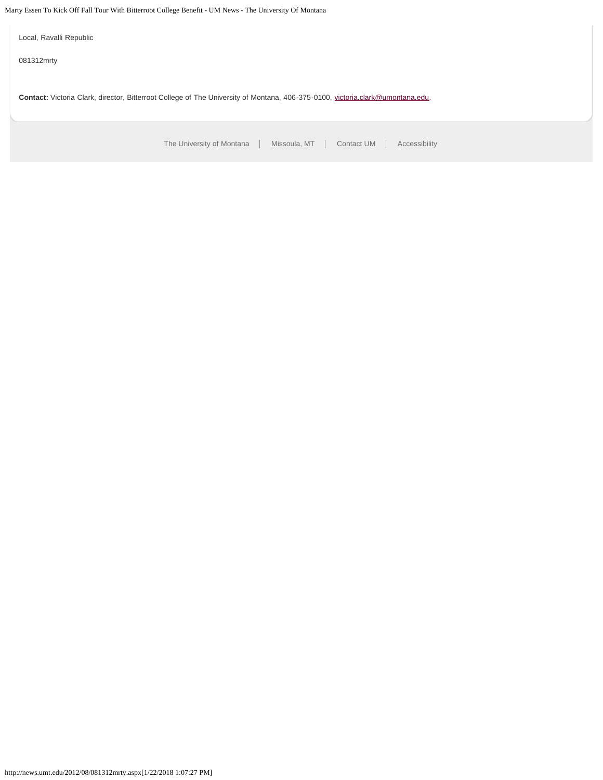Marty Essen To Kick Off Fall Tour With Bitterroot College Benefit - UM News - The University Of Montana

Local, Ravalli Republic

081312mrty

Contact: Victoria Clark, director, Bitterroot College of The University of Montana, 406-375-0100, [victoria.clark@umontana.edu.](mailto:victoria.clark@umontana.edu)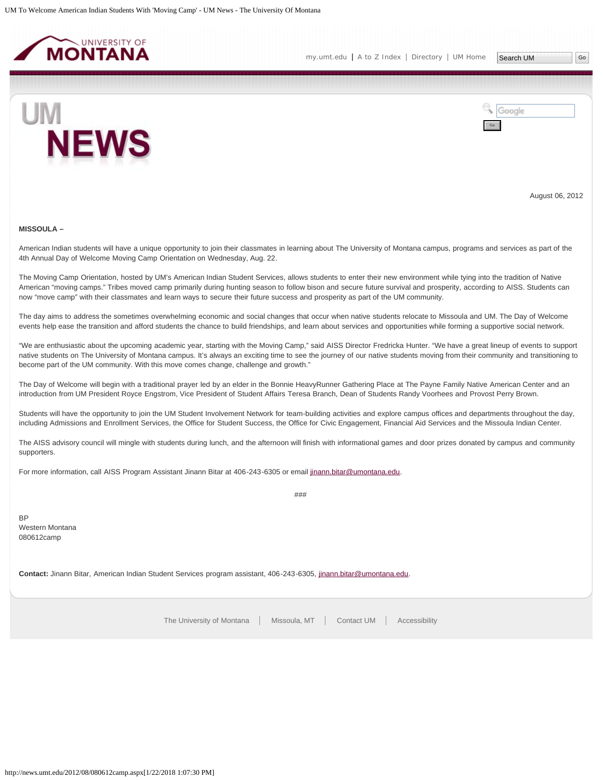<span id="page-40-0"></span>



August 06, 2012

#### **MISSOULA –**

American Indian students will have a unique opportunity to join their classmates in learning about The University of Montana campus, programs and services as part of the 4th Annual Day of Welcome Moving Camp Orientation on Wednesday, Aug. 22.

The Moving Camp Orientation, hosted by UM's American Indian Student Services, allows students to enter their new environment while tying into the tradition of Native American "moving camps." Tribes moved camp primarily during hunting season to follow bison and secure future survival and prosperity, according to AISS. Students can now "move camp" with their classmates and learn ways to secure their future success and prosperity as part of the UM community.

The day aims to address the sometimes overwhelming economic and social changes that occur when native students relocate to Missoula and UM. The Day of Welcome events help ease the transition and afford students the chance to build friendships, and learn about services and opportunities while forming a supportive social network.

"We are enthusiastic about the upcoming academic year, starting with the Moving Camp," said AISS Director Fredricka Hunter. "We have a great lineup of events to support native students on The University of Montana campus. It's always an exciting time to see the journey of our native students moving from their community and transitioning to become part of the UM community. With this move comes change, challenge and growth."

The Day of Welcome will begin with a traditional prayer led by an elder in the Bonnie HeavyRunner Gathering Place at The Payne Family Native American Center and an introduction from UM President Royce Engstrom, Vice President of Student Affairs Teresa Branch, Dean of Students Randy Voorhees and Provost Perry Brown.

Students will have the opportunity to join the UM Student Involvement Network for team-building activities and explore campus offices and departments throughout the day, including Admissions and Enrollment Services, the Office for Student Success, the Office for Civic Engagement, Financial Aid Services and the Missoula Indian Center.

The AISS advisory council will mingle with students during lunch, and the afternoon will finish with informational games and door prizes donated by campus and community supporters.

###

For more information, call AISS Program Assistant Jinann Bitar at 406-243-6305 or email [jinann.bitar@umontana.edu](mailto:jinann.bitar@umontana.edu).

BP Western Montana 080612camp

**Contact:** Jinann Bitar, American Indian Student Services program assistant, 406-243-6305, [jinann.bitar@umontana.edu.](mailto:jinann.bitar@umontana.edu)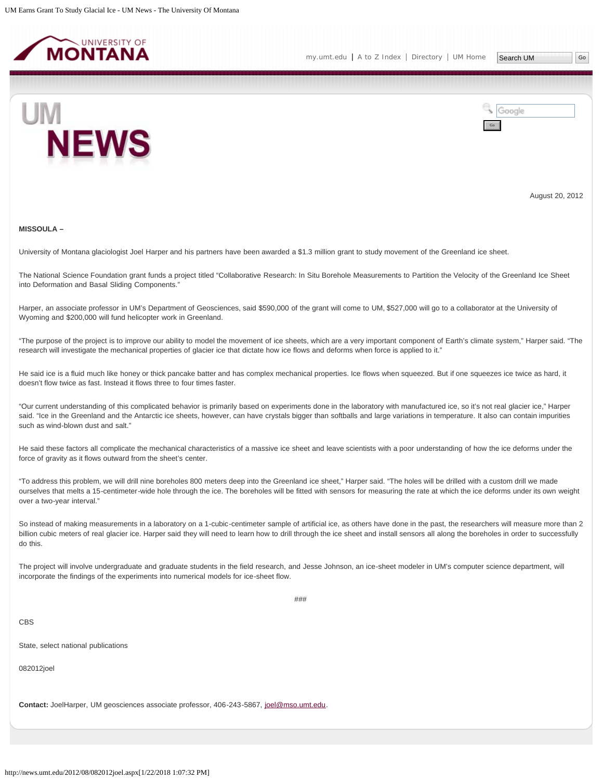<span id="page-41-0"></span>



August 20, 2012

#### **MISSOULA –**

University of Montana glaciologist Joel Harper and his partners have been awarded a \$1.3 million grant to study movement of the Greenland ice sheet.

The National Science Foundation grant funds a project titled "Collaborative Research: In Situ Borehole Measurements to Partition the Velocity of the Greenland Ice Sheet into Deformation and Basal Sliding Components."

Harper, an associate professor in UM's Department of Geosciences, said \$590,000 of the grant will come to UM, \$527,000 will go to a collaborator at the University of Wyoming and \$200,000 will fund helicopter work in Greenland.

"The purpose of the project is to improve our ability to model the movement of ice sheets, which are a very important component of Earth's climate system," Harper said. "The research will investigate the mechanical properties of glacier ice that dictate how ice flows and deforms when force is applied to it."

He said ice is a fluid much like honey or thick pancake batter and has complex mechanical properties. Ice flows when squeezed. But if one squeezes ice twice as hard, it doesn't flow twice as fast. Instead it flows three to four times faster.

"Our current understanding of this complicated behavior is primarily based on experiments done in the laboratory with manufactured ice, so it's not real glacier ice," Harper said. "Ice in the Greenland and the Antarctic ice sheets, however, can have crystals bigger than softballs and large variations in temperature. It also can contain impurities such as wind-blown dust and salt."

He said these factors all complicate the mechanical characteristics of a massive ice sheet and leave scientists with a poor understanding of how the ice deforms under the force of gravity as it flows outward from the sheet's center.

"To address this problem, we will drill nine boreholes 800 meters deep into the Greenland ice sheet," Harper said. "The holes will be drilled with a custom drill we made ourselves that melts a 15-centimeter-wide hole through the ice. The boreholes will be fitted with sensors for measuring the rate at which the ice deforms under its own weight over a two-year interval."

So instead of making measurements in a laboratory on a 1-cubic-centimeter sample of artificial ice, as others have done in the past, the researchers will measure more than 2 billion cubic meters of real glacier ice. Harper said they will need to learn how to drill through the ice sheet and install sensors all along the boreholes in order to successfully do this.

The project will involve undergraduate and graduate students in the field research, and Jesse Johnson, an ice-sheet modeler in UM's computer science department, will incorporate the findings of the experiments into numerical models for ice-sheet flow.

###

# CBS

State, select national publications

082012joel

**Contact:** JoelHarper, UM geosciences associate professor, 406-243-5867, [joel@mso.umt.edu](mailto:joel@mso.umt.edu).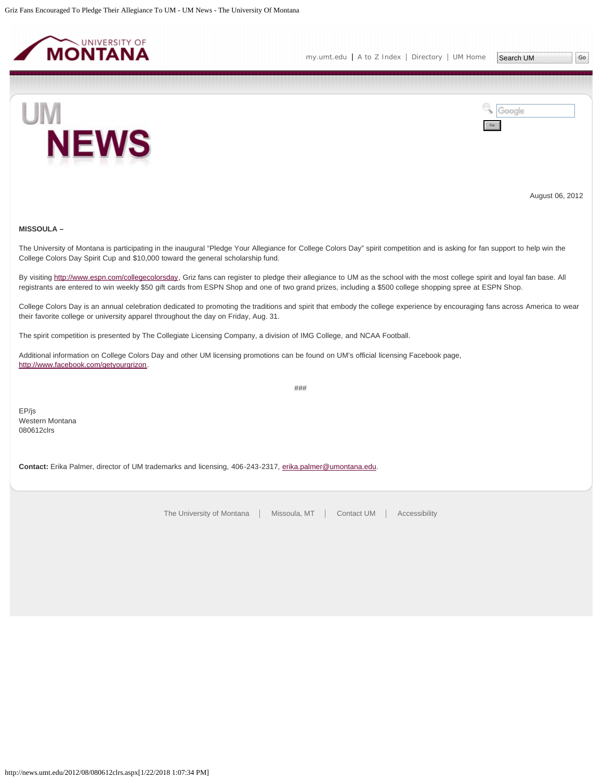<span id="page-43-0"></span>



August 06, 2012

# **MISSOULA –**

The University of Montana is participating in the inaugural "Pledge Your Allegiance for College Colors Day" spirit competition and is asking for fan support to help win the College Colors Day Spirit Cup and \$10,000 toward the general scholarship fund.

By visiting<http://www.espn.com/collegecolorsday>, Griz fans can register to pledge their allegiance to UM as the school with the most college spirit and loyal fan base. All registrants are entered to win weekly \$50 gift cards from ESPN Shop and one of two grand prizes, including a \$500 college shopping spree at ESPN Shop.

College Colors Day is an annual celebration dedicated to promoting the traditions and spirit that embody the college experience by encouraging fans across America to wear their favorite college or university apparel throughout the day on Friday, Aug. 31.

###

The spirit competition is presented by The Collegiate Licensing Company, a division of IMG College, and NCAA Football.

Additional information on College Colors Day and other UM licensing promotions can be found on UM's official licensing Facebook page, <http://www.facebook.com/getyourgrizon>.

EP/js Western Montana 080612clrs

**Contact:** Erika Palmer, director of UM trademarks and licensing, 406-243-2317, [erika.palmer@umontana.edu.](mailto:erika.palmer@umontana.edu)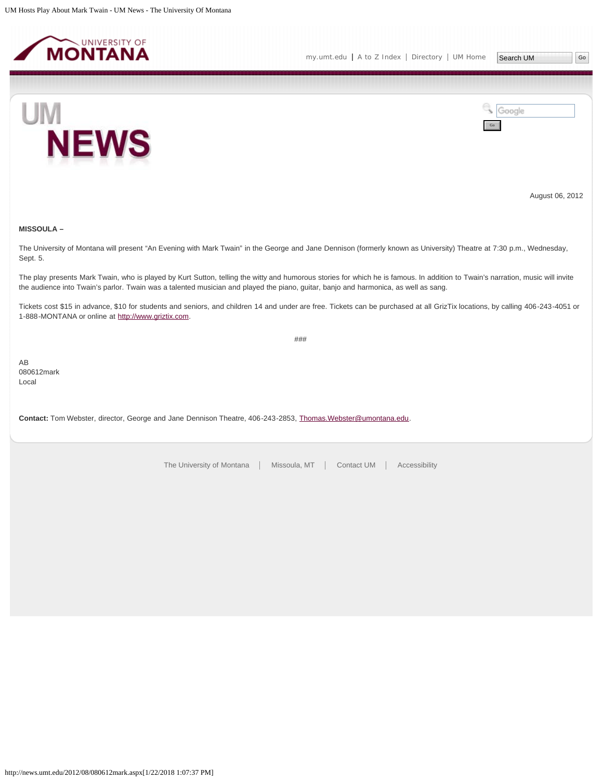<span id="page-44-0"></span>



August 06, 2012

# **MISSOULA –**

The University of Montana will present "An Evening with Mark Twain" in the George and Jane Dennison (formerly known as University) Theatre at 7:30 p.m., Wednesday, Sept. 5.

The play presents Mark Twain, who is played by Kurt Sutton, telling the witty and humorous stories for which he is famous. In addition to Twain's narration, music will invite the audience into Twain's parlor. Twain was a talented musician and played the piano, guitar, banjo and harmonica, as well as sang.

Tickets cost \$15 in advance, \$10 for students and seniors, and children 14 and under are free. Tickets can be purchased at all GrizTix locations, by calling 406-243-4051 or 1-888-MONTANA or online at [http://www.griztix.com.](http://www.griztix.com/)

###

AB 080612mark Local

**Contact:** Tom Webster, director, George and Jane Dennison Theatre, 406-243-2853, [Thomas.Webster@umontana.edu.](mailto:Thomas.Webster@umontana.edu)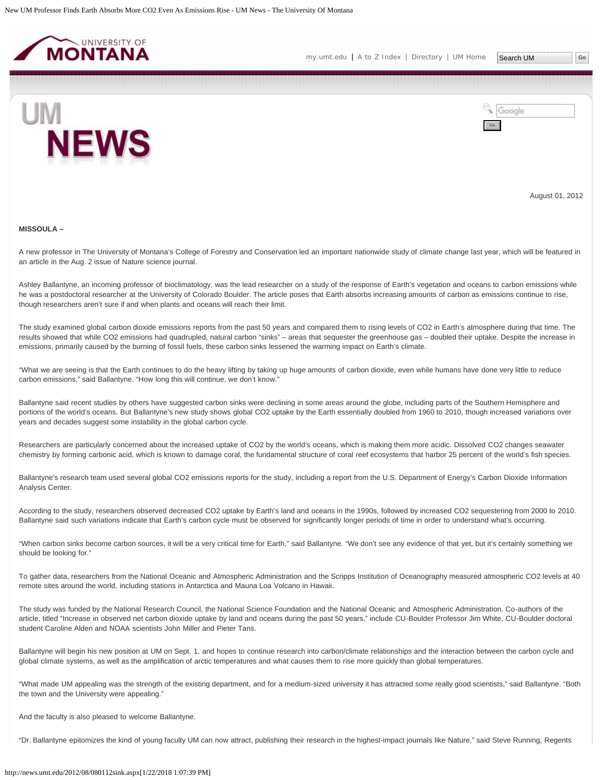<span id="page-45-0"></span>

[my.umt.edu](http://my.umt.edu/) | [A to Z Index](http://www.umt.edu/search/atoz/) | [Directory](http://www.umt.edu/directory/) | [UM Home](http://www.umt.edu/)



Google Go

August 01, 2012

#### **MISSOULA –**

A new professor in The University of Montana's College of Forestry and Conservation led an important nationwide study of climate change last year, which will be featured in an article in the Aug. 2 issue of Nature science journal.

Ashley Ballantyne, an incoming professor of bioclimatology, was the lead researcher on a study of the response of Earth's vegetation and oceans to carbon emissions while he was a postdoctoral researcher at the University of Colorado Boulder. The article poses that Earth absorbs increasing amounts of carbon as emissions continue to rise, though researchers aren't sure if and when plants and oceans will reach their limit.

The study examined global carbon dioxide emissions reports from the past 50 years and compared them to rising levels of CO2 in Earth's atmosphere during that time. The results showed that while CO2 emissions had quadrupled, natural carbon "sinks" – areas that sequester the greenhouse gas – doubled their uptake. Despite the increase in emissions, primarily caused by the burning of fossil fuels, these carbon sinks lessened the warming impact on Earth's climate.

"What we are seeing is that the Earth continues to do the heavy lifting by taking up huge amounts of carbon dioxide, even while humans have done very little to reduce carbon emissions," said Ballantyne. "How long this will continue, we don't know."

Ballantyne said recent studies by others have suggested carbon sinks were declining in some areas around the globe, including parts of the Southern Hemisphere and portions of the world's oceans. But Ballantyne's new study shows global CO2 uptake by the Earth essentially doubled from 1960 to 2010, though increased variations over years and decades suggest some instability in the global carbon cycle.

Researchers are particularly concerned about the increased uptake of CO2 by the world's oceans, which is making them more acidic. Dissolved CO2 changes seawater chemistry by forming carbonic acid, which is known to damage coral, the fundamental structure of coral reef ecosystems that harbor 25 percent of the world's fish species.

Ballantyne's research team used several global CO2 emissions reports for the study, including a report from the U.S. Department of Energy's Carbon Dioxide Information Analysis Center.

According to the study, researchers observed decreased CO2 uptake by Earth's land and oceans in the 1990s, followed by increased CO2 sequestering from 2000 to 2010. Ballantyne said such variations indicate that Earth's carbon cycle must be observed for significantly longer periods of time in order to understand what's occurring.

"When carbon sinks become carbon sources, it will be a very critical time for Earth," said Ballantyne. "We don't see any evidence of that yet, but it's certainly something we should be looking for."

To gather data, researchers from the National Oceanic and Atmospheric Administration and the Scripps Institution of Oceanography measured atmospheric CO2 levels at 40 remote sites around the world, including stations in Antarctica and Mauna Loa Volcano in Hawaii.

The study was funded by the National Research Council, the National Science Foundation and the National Oceanic and Atmospheric Administration. Co-authors of the article, titled "Increase in observed net carbon dioxide uptake by land and oceans during the past 50 years," include CU-Boulder Professor Jim White, CU-Boulder doctoral student Caroline Alden and NOAA scientists John Miller and Pieter Tans.

Ballantyne will begin his new position at UM on Sept. 1, and hopes to continue research into carbon/climate relationships and the interaction between the carbon cycle and global climate systems, as well as the amplification of arctic temperatures and what causes them to rise more quickly than global temperatures.

"What made UM appealing was the strength of the existing department, and for a medium-sized university it has attracted some really good scientists," said Ballantyne. "Both the town and the University were appealing."

And the faculty is also pleased to welcome Ballantyne.

"Dr. Ballantyne epitomizes the kind of young faculty UM can now attract, publishing their research in the highest-impact journals like Nature," said Steve Running, Regents